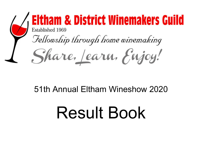

## 51th Annual Eltham Wineshow 2020

# Result Book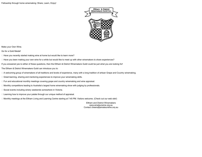

Make your Own Wine.

Go for a Gold Medal!

 $\Box$  Have you recently started making wine at home but would like to learn more?

Have you been making your own wine for a while but would like to meet up with other winemakers to share experiences?

If you answered yes to either of these questions, then the Eltham & District Winemakers Guild could be just what you are looking for!

The Eltham & District Winemakers Guild can introduce you to:

□ A welcoming group of winemakers of all traditions and levels of experience, many with a long tradition of artisan Grape and Country winemaking.

Great learning, sharing and mentoring experiences to improve your winemaking skills.

Fun and educational monthly meetings covering grape and country winemaking and wine appraisal.

Monthly competitions leading to Australia's largest home winemaking show with judging by professionals.

□ Social events including winery weekends somewhere in Victoria.

Learning how to improve your palate through our unique method of appraisal.

Monthly meetings at the Eltham Living and Learning Centre starting at 7:45 PM. Visitors welcome. (Check out our web site!)

Eltham and District Winemakers www.amateurwine.org.au Contact cheers@amateurwine.org.au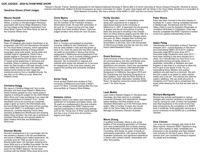### **OUR JUDGES - 2020 ELTHAM WINE SHOW**

### **Sandrine Gimon (Chief Judge)**

Raised in Savoie, France, Sandrine graduated for the Diploma National Oenology in Reims after a 6-month internship at Veuve Clicquot Ponsardin. Worked at various wineries internationally. Settled at Rymill Coonawarra as senior winemaker for nearly 13 years. Now based with her family in the Yarra Valley, Sandrine is a consultant at Wine Network Consulting. She was a scholar of the AWAC in 2007 and the Len Evans Tutorial in 2017.

### **Wayne Hewett**

Wayne is a professional winemaker for Rebello Wines, a winery on the Mornington Peninsula associated with Sunny Ridge Strawberry Farm. He has judged at the Hobart (Australian) Fruit Wine Show, Cairns Fruit Wine Show as well as the Victorian Wines show.

### **Dean O'Callaghan**

Dean O'Callaghan (aka Deano Goodbrew) is an ecopreneur and CEO and Abundance Generator for The Good Brew Company, which specialises in the sustainable brewing of living probiotic beverages using solar power, spring water and certified organic ingredients. Deano has a double degree in Computer Science and Systems Engineering and has been involved in IT based social enterprises in Germany and Australia. Deano's brewing ventures began when his Dad bought a craft beer brewery in the Yarra Valley and continued in the alternative festival scene where he sold 'magic tea' kombucha and jun from a modified tricycle. He has also run for office at Local, State and Federal Levels.

### **Christina Kaigg**

My name is Christina Kaigg and I am a wine educator and wine buyer based in Melbourne. Sarah Andrew passed on your recent email in regards to looking for judges for the 2020 Eltham Wine Show and I was wondering if you were still taking expressions of interest? If so, I would absolutely love to be involved as a potential judge (I grew up local to the Warrandyte area and am thrilled to hear the show will be running). I have both WSET L3 certification and FWS (Honours), currently teaching French Wine Scholars at Melbourne Winehouse and studying Italian Wine Scholars. My main job is working as Assistant Wine Buyer and second palate for Atlas Vinifera Wine Bar and Bottleshop in Richmond.

### **Duncan Moody**

Duncan's background is as a sommelier and he has worked in resorts in the UK and Maldives and some of Melbourne's hatted restaurants. He currently work for TWE as part of the Luxury Brands sales team. He has been studying wine since 2004 and is a Certified Sommelier. He has passed all tasting exams and all but one theory exam for the WSET diploma. He has been involved with the Eltham Wine show since 2016.

### **Chris Myers**

Chris is a highly regarded amateur winemaker and life member of the Frankston Amateur Winemakers Guild. He was their winemaker of the year for 12 years running and has major trophies from most amateur shows. Chris has judged amateur wine shows for over 20 years.

### **Lisa Cardelli**

Born in Tuscany and adopted by Australia (currently waiting for the Citizenship!), Lisa's love for wine started in Italy and has grown up here in Oz. Over the years she has been cutting her teeth as sommelier in famous fine dining restaurants in Melbourne and progressed in her WSET studies. Lisa is currently holding a level 4 Diploma as well as being a certified WSET educator. Her involvement in regional and national wine shows has allowed her to be more an integral part of the local wine industry and support this exciting and constantly changing industry.

### **Annie Tang**

Annie studied Global wine studies at The University of Melbourne and holds a WSET Level 3 in Wine. Currently looking after the Fine wine portfolio at Treasury Wine Estates.

### **Natasha Johns**

Natasha Johns is an Italian wine importer and distributor for Australian and Italian wines, with 18 years as a professional in the wine industry. She has completed her WSET diploma and regularly participates in benchmarking tastings such as the 'Young Gun of Wine' panel tastings and has a love of wine from all countries, regions and styles.

### **Kirilly Gordon**

Kirilly began her career in winemaking while doing work experience for a degree in Agricultural Science at the University of Melbourne in 1997. A fascination for the growing of grapes and the art and science of turning them into wine led to enrolling in the Charles Sturt Uni Wine Science degree and the offer of a winemaking job in the Macedon Ranges where she grew up. Many vintages later including two overseas, a finely tuned palate and love of fermentation of all kinds, she is the Winemaker at Witchmount Estate and has her own tiny wine brand called Bowerbird Wines.

### **Grant Scicluna**

Grant Scicluna of Wine House Melbourne writes all communications and also contributes wine tasting notes on a freelance basis for wine distributors and wineries. Grant has represented Wine House in numerous international trade contexts including the Jackson Family Wine Symposium in California; Sauvignon 2019 and the Chardonnay and Sparkling Symposium in New Zealand. Grant was the Wine Scholar at the 2019 Australian Alternative Varieties Wine Show. He teaches consumer events and WSET Level 1 for Wine House.

### **Leah Mottin**

Leah holds a Masters Degree in Viticulture and Oenology, she then went on to complete numerous Domestic and International Vinatges before landing a full time position as an Assistant Winemaker up in the Perricoota Wine region. After a number of years she moved down to the Yarra Valley as the Laboratory Manager at Domaine Chandon Australia

### **Mavis Zhang**

A qualified winemaker, Mavis is one of the leaders of the emerging generation of Chineseborn wine professionals and currently working as the Winemaker Consultant at Wine Network Consulting. She brings six years of hands-on winemaking experience, with several top-flight Australian producers; and significant experience in liaison with contract clients, winemakers and other third parties.

### **Peter Shone**

Peter has been involved in the wine industry in Australia for 7 years. Having completed harvests in Marlborough, the Barossa and the Yarra Valley, Peter is now the Assistant Winemaker at Levantine Hill Estate in Coldstream. Peter has recently completed the WSET Diploma to further round out a global understanding of wine.

### **Adam Paleg**

Viticulturalist and winemaker at Mount Towrong Vineyard 2011- current Bachelor of Viticulture and winemaking (NMIT) 2010-2014 Judging: Associate judge MPVA wine show 2017, Associate judge Daylesford wine show 2017. I have been working in the wine industry for 9 years. As a Viticulturalist my main focus is on sustainable farming principles where no pesticides, herbicides or fertilisers are used. Irrigation is also kept to a minimum to allow the fruit to give a true sense of site. For our winemaking fining, filtration and sulphur additions are also kept to a minimum. We pick the fruit a week or so earlier to retain natural acidity and a low pH. This reduces the need for sulphur additions. We use small amounts of Hungarian and French oak to compliment the wines while allowing the fruit that we start with to shine!

### **Richard Martignetti**

Richard has actively participated in various vintages with premium wineries in Australia and France, honing his craft, of which his hospitality and retail experience in the world of wine has been enhanced by the completion of a WSET level 3 certificate. Enthusiastically serving as a proud contributor to the EDWG as a committee member.

### **Aine Conran**

I am a key account manager with Heart & Soil Wine Imports. Achieved WSET Diploma in Aug 2019. Have worked in retail, wholesale and production in the Australian and New Zealand wine industry for the last 8 years. Wine is my passion and I am constantly looking to expand my palate and knowledge.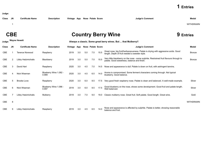1 harrier Family WITHDRAWN with the control of the control of the control of the control of the control of the control of the control of the control of the control of the control of the control of the control of the contro

## **CBE COUNTY Berry Wine 9 Entries**

**Judge: Wayne Hewett Always <sup>a</sup> classic. Some great berry wines. But ... that Mulberry!!**

| <b>Class</b> | <b>JN</b> | <b>Certificate Name</b> | <b>Description</b>              | Vintage App |     |     | <b>Nose Palate Score</b> |      | <b>Judge's Comment</b>                                                                                                                  | <b>Medal</b>     |
|--------------|-----------|-------------------------|---------------------------------|-------------|-----|-----|--------------------------|------|-----------------------------------------------------------------------------------------------------------------------------------------|------------------|
| <b>CBE</b>   |           | <b>Terence Norwood</b>  | Raspberry                       | 2019        | 3.0 | 5.0 | 7.5                      | 15.5 | Great nose, big fruit/herbaceousness. Palate is drying with aggressive acids. Good<br>length. Depth of fruit needed a sweeter style.    | <b>Bronze</b>    |
| CBE          |           | Libby Hatzimichalis     | Blackberry                      | 2019        | 3.0 | 5.0 | 7.5                      | 15.5 | Very little blackberry on the nose - some sulphite. Restrained fruit flavours through to<br>palate. Good sweetness, balance and finish. | <b>Bronze</b>    |
| <b>CBE</b>   | 3         | David Hart              | Raspberry                       | 2020        | 3.0 | 4.5 | 7.0                      | 14.5 | Nose and appearance is dull. Palate is down on fruit, with astringent tannins.                                                          |                  |
| <b>CBE</b>   |           | Nick Wiseman            | Blueberry Wine 1.082 -<br>0.989 | 2020        | 3.0 | 4.5 | 6.5                      | 14.0 | Aroma is compromised. Some ferment characters coming through. Not typical<br>blueberry. Good balance.                                   |                  |
| CBE          | 5         | <b>Brooke Love</b>      | Raspberry                       | 2020        | 3.0 | 6.0 | 8.5                      | 17.5 | Very good fresh raspberry nose. Palate is clean and balanced. A well-made example.                                                      | Silver           |
| CBE          | 6         | Nick Wiseman            | Blueberry Wine 1.086 -<br>0.997 | 2019        | 3.0 | 6.0 | 8.5                      | 17.5 | Good blueberry on the nose, shows some development. Good fruit and palate length.<br>Well balanced.                                     | Silver           |
| CBE          |           | Libby Hatzimichalis     | Mulberry                        | 2019        | 3.0 | 7.0 | 9.0                      | 19.0 | Classic mulberry nose. Great fruit. Soft palate. Good length. Great wine.                                                               | Gold             |
| <b>CBE</b>   | 8         |                         |                                 |             |     |     |                          |      |                                                                                                                                         | <b>WITHDRAWN</b> |
| <b>CBE</b>   |           | Libby Hatzimichalis     | Raspberry                       | 2019        | 3.0 | 4.5 | 6.5                      | 14.0 | Nose and appearance is affected by sulphite. Palate is better, showing reasonable<br>balance and fruit.                                 |                  |

**Judge:**

**Class JN Certificate Name Description Vintage App Nose Palate Score Judge's Comment Medal**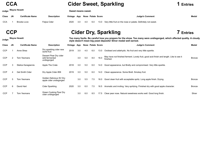### **CCA Cider Sweet, Sparkling 1 Entries**

**Judge: Wayne Hewett Sweet means sweet.**

| Class JN | <b>Certificate Name</b> | <b>Description</b> | Vintage App Nose Palate Score |  |  | <b>Judge's Comment</b>                                                               | <b>Medal</b> |
|----------|-------------------------|--------------------|-------------------------------|--|--|--------------------------------------------------------------------------------------|--------------|
| CCA      | Brooke Love             | Feiioa Cider       |                               |  |  | 2020 3.0 4.0 6.0 13.0 Very little fruit on the nose or palate. Definitely not sweet. |              |

**Judge:**

## **CCP Cider Dry, Sparkling 7 Entries**

Too many faults. Be careful how you prepare for the show. Too many were undisgorged, which affected quality. A cloudy **style doesn't mean big yeast deposits! Silver medal well earned.**

| <b>Class</b> | JN. | <b>Certificate Name</b> | <b>Description</b>                                      | Vintage App |     |     | <b>Nose Palate Score</b> |      | <b>Judge's Comment</b>                                                                                | <b>Medal</b>  |
|--------------|-----|-------------------------|---------------------------------------------------------|-------------|-----|-----|--------------------------|------|-------------------------------------------------------------------------------------------------------|---------------|
| <b>CCP</b>   |     | Anne Shea               | Dry sparkling cider new<br>world fruit                  | 2019        | 3.0 | 4.0 | 6.0                      | 13.0 | Oxidised and aldehydic. No fruit and very little sparkle.                                             |               |
| <b>CCP</b>   |     | Tom Yeomans             | Dessert Pear Dry cider<br>wild fermented<br>undisgorged |             | 3.0 | 5.0 | 8.0                      | 16.0 | May have not finished ferment. Lovely fruit, good acid finish and length. Like to see it<br>finished. | <b>Bronze</b> |
| <b>CCP</b>   | 3   | Stelios Karagiannis     | Apple The Crate                                         | 2018        | 3.0 | 5.0 | 6.0                      | 14.0 | Good appearance, but Bretty and compromised. Very little sparkle.                                     |               |
| <b>CCP</b>   |     | <b>Get Smith Cider</b>  | Dry Apple Cider #58                                     | 2019        | 3.0 | 5.0 | 6.0                      | 14.0 | Clean appearance. Some Brett. Smokey fruit.                                                           |               |
| <b>CCP</b>   | 5   | Tom Yeomans             | Golden Delicious SV Dry<br>apple cider undisgorged      |             | 3.0 | 5.5 | 7.5                      | 16.0 | Good clean fruit with acceptable spritz. Long apple finish. Drying.                                   | <b>Bronze</b> |
| <b>CCP</b>   |     | David Hart              | <b>Cider Sparkling</b>                                  | 2020        | 3.0 | 6.0 | 7.5                      | 16.5 | Aromatic and inviting. Very spritzing. Finished dry with good apple character.                        | <b>Bronze</b> |
| <b>CCP</b>   |     | Tom Yeomans             | Green Cooking Pear Dry<br>cider undisgorged             |             | 3.0 | 6.0 | 8.5                      | 17.5 | Clear pear nose. Natural sweetness works well. Good long finish.                                      | Silver        |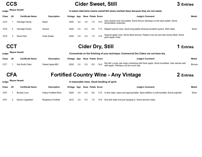## **CCS Cider Sweet, Still 3 Entries**

| Judge: |     | <b>Wayne Hewett</b>     |                    | A sweet cider/wine means sweet!!All wines marked down because they are not sweet. |     |     |                   |      |                                                                                                           |              |  |  |  |
|--------|-----|-------------------------|--------------------|-----------------------------------------------------------------------------------|-----|-----|-------------------|------|-----------------------------------------------------------------------------------------------------------|--------------|--|--|--|
| Class  | JN. | <b>Certificate Name</b> | <b>Description</b> | Vintage                                                                           | App |     | Nose Palate Score |      | <b>Judge's Comment</b>                                                                                    | <b>Medal</b> |  |  |  |
| CCS    |     | Harridge Family         | Nashi              | 2020                                                                              | 3.0 | 4.5 | 7.5               | 15.0 | Very neutral nose and palate. Some flavour develops on the back palate. Some<br>fermentation character.   |              |  |  |  |
| CCS    |     | Harridge Family         | Quince             | 2020                                                                              | 3.0 | 6.0 | 8.5               | 17.5 | Elegant quince nose. Good long palate showing excellent quince. Well made.                                | Silver       |  |  |  |
| ccs    |     | David Hart              | Cider Sweet        | 2020                                                                              | 3.0 | 4.0 | 7.0               | 14.0 | Atypical apple nose. Some Brett obvious. Palate is too dry and also shows Brett. Some<br>good apple notes |              |  |  |  |
|        |     |                         |                    |                                                                                   |     |     |                   |      |                                                                                                           |              |  |  |  |

**CCT Cider Dry, Still** 

|  | Entries |
|--|---------|
|--|---------|

|            | Judge: Wayne Hewett     |                    | Concentrate on the finishing of your technique. Commercial Dry Ciders are not bone dry. |     |     |     |  |                                                                                                                                          |               |  |  |
|------------|-------------------------|--------------------|-----------------------------------------------------------------------------------------|-----|-----|-----|--|------------------------------------------------------------------------------------------------------------------------------------------|---------------|--|--|
| Class JN   | <b>Certificate Name</b> | <b>Description</b> | Vintage App Nose Palate Score                                                           |     |     |     |  | <b>Judge's Comment</b>                                                                                                                   | Medal         |  |  |
| <b>CCT</b> | <b>Get Smith Cider</b>  | Oaked Apple #63    | 2020                                                                                    | 3.0 | 5.0 | 8.0 |  | 16.0 Not still. Lovely oak notes combining with fresh apple. Good mouthfeel. Oak marries well<br>with apple. Perhaps a bit too much oak. | <b>Bronze</b> |  |  |

## **CFA Fortified Country Wine - Any Vintage 2 Entries**

|              |    | Judge: Wayne Hewett     | A reasonable class. Good handling of spirit. |             |     |                   |     |  |                                                                                             |        |  |  |  |
|--------------|----|-------------------------|----------------------------------------------|-------------|-----|-------------------|-----|--|---------------------------------------------------------------------------------------------|--------|--|--|--|
| <b>Class</b> | JN | <b>Certificate Name</b> | <b>Description</b>                           | Vintage App |     | Nose Palate Score |     |  | <b>Judge's Comment</b>                                                                      | Medal  |  |  |  |
| <b>CFA</b>   |    | Brooke Love             | Feijoa Fortified Wine                        | 2020        | 3.0 | 6.0               | 8.0 |  | 17.0 A drier style, clean and approachable. Spirit addition is well-handled. Some sulphide. | Silver |  |  |  |
| <b>CFA</b>   |    | Danny Cappellani        | Raspberry Fortified                          | 2012        | 3.0 | 5.0               | 7.0 |  | 15.0 Dull with older fruit just hanging in. Some almond notes.                              |        |  |  |  |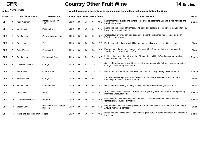## **CFR Country Other Fruit Wine 14 Entries**

## Judge: Wayne Hewett Merchand Charles A solid class, as always. Good to see members honing their technique with Country Wines.

| <b>Class</b> | <b>JN</b> | <b>Certificate Name</b>   | <b>Description</b>                 | Vintage | App |     | <b>Nose Palate Score</b> |      | <b>Judge's Comment</b>                                                                                                         | <b>Medal</b>  |
|--------------|-----------|---------------------------|------------------------------------|---------|-----|-----|--------------------------|------|--------------------------------------------------------------------------------------------------------------------------------|---------------|
| <b>CFR</b>   |           | Nick Wiseman              | Banana Wine 1.101 -<br>1.000       | 2020    | 3.0 | 5.5 | 7.5                      | 16.0 | Lacks freshness overall and suffers some over-development. Banana is well handled and<br>sweetness is good.                    | <b>Bronze</b> |
| <b>CFR</b>   |           | David Hart                | <b>Passion Fruit</b>               | 2020    | 3.0 | 5.0 | 6.5                      | 14.5 | Lacking brightness and freshness. The acids and palate are too aggressive. Good flavour.<br>Look to improving technique.       |               |
| <b>CFR</b>   | 3         | <b>Brooke Love</b>        | Persimmon and Lilac                | 2020    | 3.0 | 5.0 | 5.0                      | 13.0 | Great colour, inviting. Soft lilac apparent - elegant. Persimmon fruit is impacted by an<br>infection - mousiness.             |               |
| <b>CFR</b>   |           | David Hart                | Fig                                | 2020    | 3.0 | 6.0 | 8.5                      | 17.5 | Earthy and rich, toffee. Mouth-filling and big. A lot is going on here. Good balance.                                          | Silver        |
| <b>CFR</b>   | 5         | <b>Peter Enness</b>       | Passionfruit                       | 2020    | 3.0 | 6.0 | 8.5                      | 17.5 | Elegant and subdued nose, some earthiness/pithy. Good mouthfeel and long palate<br>showing good balance. Good effort.          | Silver        |
| <b>CFR</b>   | 6         | <b>Brooke Love</b>        | Pepino and Pear                    | 2020    | 3.0 | 5.5 | 7.5                      | 16.0 | Lightly spiced nose, but fairly neutral. The palate is a little 'fat' and unctuous. Needs a<br>touch of tannin. Good effort.   | <b>Bronze</b> |
| <b>CFR</b>   |           | Libby Hatzimichalis       | Orange                             | 2019    | 3.0 | 4.5 | 7.5                      | 15.0 | Star bright, with great colour. Nose has pithy overtones and a 'rubbery' note - mercaptans.<br>Orange comes through on palate. |               |
| <b>CFR</b>   | 8         | Anne Shea                 | Quince wine                        | 2019    | 3.0 | 5.0 | 7.5                      | 15.5 | Herbal/quince nose. Good palate with faint quince coming through. Well structured.                                             | <b>Bronze</b> |
| <b>CFR</b>   | 9         | <b>Peter Enness</b>       | Orange                             | 2020    | 3.0 | 6.0 | 8.5                      | 17.5 | Very subtle orange/pith on nose. Good flavour on palate. Well-balance acids. Well-<br>handled pith. Good, a touch sweeter?     | Silver        |
| <b>CFR</b>   | 10        | <b>Brooke Love</b>        | Lime and Mint                      | 2020    | 3.0 | 7.0 | 8.5                      | 18.5 | Excellent nose showing both ingredients. Great balance and length. Well done.                                                  | Gold          |
| <b>CFR</b>   | 11        | David Hart                | Pear                               | 2020    | 3.0 | 5.5 | 7.5                      | 16.0 | Spicy nose, cloves. Very good. Palate - was expecting more fruit. High Sorbate gives big<br>mouthfeel without flavour.         | Bronze        |
| CFR          | 12        | Libby Hatzimichalis       | Rhubarb                            | 2020    | 3.0 | 5.0 | 7.5                      | 15.5 | Great colour, but subtle nose impacted by SO2. Sweetness tends to be a little too<br>'confectionary', but good structure.      | <b>Bronze</b> |
| <b>CFR</b>   | 13        | <b>Brooke Love</b>        | Passionfruit and Orange<br>Blossom | 2020    | 3.0 | 6.5 | 8.0                      | 17.5 | Elegant nose, showing mostly passionfruit. Very good flavour on palate, with good length.<br>A touch more acid perhaps?        | Silver        |
| <b>CFR</b>   | 14        | Mario and Izabella Fantin | Feijoa                             | 2020    | 3.0 | 5.0 | 7.5                      | 15.5 | Restrained and inviting nose. Palate shows good fruit, but some harshness that lingers on<br>the finish.                       | <b>Bronze</b> |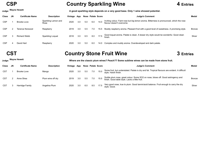

## **CSP COUNTY Sparkling Wine 4 Entries**

### Judge: Wayne Hewett Market Mayne Hewett Market Mayne Mayne Mayne Mayne Mayne Mayne Mayne Mayne Showed potential.

| <b>Class</b> | <b>JN</b> | <b>Certificate Name</b> | <b>Description</b>          | Vintage App |     |     | Nose Palate Score |      | <b>Judge's Comment</b>                                                                                                 | Medal  |
|--------------|-----------|-------------------------|-----------------------------|-------------|-----|-----|-------------------|------|------------------------------------------------------------------------------------------------------------------------|--------|
| <b>CSP</b>   |           | Brooke Love             | Sparkling Lemon and<br>Rose | 2020        | 3.0 | 5.0 | 6.0               | 14.0 | Inviting colour. Faint rose but big lemon aroma. Bitterness is pronounced, which the rose<br>flavour doesn't overcome. |        |
| CSP          |           | Terence Norwood         | Raspberry                   | 2019        | 3.0 | 5.5 | 7.0               | 15.5 | Muddy raspberry aroma. Pleasant fruit with a good level of sweetness. A promising style.                               | Bronze |
| <b>CSP</b>   |           | Richard Webb            | Sparkling Loquat            | 2018        | 3.0 | 6.5 | 8.0               | 17.5 | Good loquat aroma. Palate is clean. A lesser dry style would be wonderful. Good clean<br>finish.                       | Silver |
| <b>CSP</b>   |           | David Hart              | Raspberry                   | 2020        | 3.0 | 5.0 | 6.0               | 14.0 | Complex and muddy aroma. Overdeveloped and dark palate.                                                                |        |

## **CST Country Stone Fruit Wine 3 Entries**

| Judge:          |    | <b>Wayne Hewett</b> |                    | Where are the classic plum wines? Peach?? Some sublime wines can be made from stone fruit. |     |     |     |                   |                                                                                                                                      |               |  |  |  |  |
|-----------------|----|---------------------|--------------------|--------------------------------------------------------------------------------------------|-----|-----|-----|-------------------|--------------------------------------------------------------------------------------------------------------------------------------|---------------|--|--|--|--|
| Class           | JN | Certificate Name    | <b>Description</b> | Vintage App                                                                                |     |     |     | Nose Palate Score | <b>Judge's Comment</b>                                                                                                               | Medal         |  |  |  |  |
| <b>CST</b>      |    | Brooke Love         | Mango              | 2020                                                                                       | 3.0 | 5.0 | 7.0 | 15.0              | Some fruit, but understated. Palate is dry and fat. Tropical flavours are evident. A difficult<br>style. Harsh finish.               |               |  |  |  |  |
| <b>CST</b>      |    | Anne Shea           | Plum wine off dry  | 2019                                                                                       | 3.0 | 5.5 | 7.0 | 15.5              | Subtle plum nose, great colour. Some SO2 on nose, blows off. Good astringency and<br>finish. Good table style. Lacks a little fruit. | <b>Bronze</b> |  |  |  |  |
| CS <sub>T</sub> |    | Harridge Family     | Angelina Plum      | 2020                                                                                       | 3.0 | 6.0 | 8.5 | 17.5              | Very good nose, true to plum. Good tannin/acid balance. Fruit enough to carry the dry<br>style. Good.                                | Silver        |  |  |  |  |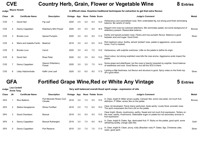## **CVE Country Herb, Grain, Flower or Vegetable Wine 8 Entries**

| Judge:       |           | <b>Wayne Hewett</b>       | A difficult class. Examine traditional techniques for extraction to get that extra flavour. |         |     |     |                   |      |                                                                                                                                                            |               |  |  |  |  |  |
|--------------|-----------|---------------------------|---------------------------------------------------------------------------------------------|---------|-----|-----|-------------------|------|------------------------------------------------------------------------------------------------------------------------------------------------------------|---------------|--|--|--|--|--|
| <b>Class</b> | <b>JN</b> | <b>Certificate Name</b>   | <b>Description</b>                                                                          | Vintage | App |     | Nose Palate Score |      | <b>Judge's Comment</b>                                                                                                                                     | Medal         |  |  |  |  |  |
| <b>CVE</b>   |           | David Hart                | Fig Leaf                                                                                    | 2020    | 2.5 | 5.0 | 6.5               | 14.0 | Herbaceous and caramelised nose. Rich understated fig, but strong acid finish dominating<br>balance. Be careful of clarity.                                |               |  |  |  |  |  |
| <b>CVE</b>   |           | Danny Cappellani          | <b>Elderberry Mint Flower</b>                                                               | 2020    | 3.0 | 5.5 | 8.0               | 16.5 | Elegant mint nose but subdued elderberry. Min dominates palate, but some background of<br>elderberry present. Reasonable balance.                          | <b>Bronze</b> |  |  |  |  |  |
| <b>CVE</b>   |           | Brooke Love               | Spiced Pumpkin                                                                              | 2020    | 3.0 | 6.0 | 8.0               | 17.0 | Earthy and spiced pumpkin nose. Fleshy and true pumpkin flavour. Balance is good<br>between acid and sugar. Good finish.                                   | Silver        |  |  |  |  |  |
| <b>CVE</b>   |           | Mario and Izabella Fantin | Beetroot                                                                                    | 2019    | 3.0 | 4.5 | 6.5               | 14.0 | Rich beetroot colour. Earthy, almost 'pickled' nose, palate is aggressive, some acetic<br>tones. Fruit is masked.                                          |               |  |  |  |  |  |
| <b>CVE</b>   |           | <b>Brooke Love</b>        | Carrot                                                                                      | 2020    | 3.0 | 4.0 | 7.0               | 14.0 | Herbaceous, with sulphite overtones. Little on the palate to define its origin.                                                                            |               |  |  |  |  |  |
| <b>CVE</b>   | 6         | David Hart                | <b>Rose Petal</b>                                                                           | 2020    | 3.0 | 3.5 | 6.5               | 13.0 | Good colour, but strong sulphited nose kills the rose aroma. Aggressive acids impact the<br>palate.                                                        |               |  |  |  |  |  |
| <b>CVE</b>   |           | Danny Cappellani          | Gewurz Elderberry<br>Flower                                                                 | 2020    | 3.0 | 3.5 | 7.5               | 14.0 | Some grape and elderflower, but the nose is heavily impacted by sulphite. Good balance<br>of sweetness and acid. Good flavour, but still the SO2 is there. |               |  |  |  |  |  |
| <b>CVE</b>   |           | Libby Hatzimichalis       | Kaffir Lime Leaf                                                                            | 2020    | 3.0 | 6.0 | 8.5               | 17.5 | Lacking a little freshness, but flavour and structure is good. Spicy notes on the finish top<br>off a good effort.                                         | Silver        |  |  |  |  |  |

## **GFA Fortified Grape Wine,Red or White Any Vintage 5 Entries**

| Judge:       | <b>Annie Tang</b> | Lisa Cardelli           |                                    |         |     |     |                   |      | Very well balanced overall. Good spirit usage - expression of stle                                                                                                                                   |               |
|--------------|-------------------|-------------------------|------------------------------------|---------|-----|-----|-------------------|------|------------------------------------------------------------------------------------------------------------------------------------------------------------------------------------------------------|---------------|
| <b>Class</b> | JN.               | <b>Certificate Name</b> | <b>Description</b>                 | Vintage | App |     | Nose Palate Score |      | <b>Judge's Comment</b>                                                                                                                                                                               | Medal         |
| <b>GFA</b>   |                   | Rino Ballerini          | Port Moscato Rosso Cool<br>Climate | 2018    | 3.0 | 7.0 | 5.5               | 15.5 | A: Clear, bright N: Bitter amaro quality, Campari like, some rose petal, not much fruit<br>definition. P: Bitter, amaro like on the palate.                                                          | <b>Bronze</b> |
| <b>GFA</b>   |                   | Stelios Karagiannis     | <b>Shiraz Fortified</b>            | 2019    | 2.0 | 7.0 | 6.0               | 15.0 | Clear, bit developed. Floral cherry perfumed. Quite spirity. Lovely floral, aromatic nose.<br>The spirit overpowers the fruit a bit on the palate.                                                   |               |
| <b>GFA</b>   |                   | David Chambers          | Muscat                             | 2019    | 3.0 | 5.0 | 5.0               | 13.0 | Clear bright. Musty, mushrooms, earthy. Sweet and not much fruit expression. Tertiary on<br>the nose, earthy, mushrooms. Detectable sugar on palate but not secondary aromas or<br>fruit expression. |               |
| <b>GFA</b>   |                   | Danny Cappellani        | <b>Muscat Rutherglen</b>           | 2019    | 3.0 | 7.0 | 8.5               | 18.5 | A: Clear, bright N: Dates, figs, desiccated fruit. P: Sticky on the palate, good spirit, some<br>refreshing acidity, orange cake like.                                                               | Gold          |
| <b>GFA</b>   |                   | Danny Cappellani        | Port Reserve                       | 2010    | 3.0 | 7.0 | 7.0               | 17.0 | A: Clear, bright N: Clean, pruny, nutty (Brazilian nuts) P: Dates, figs, Christmas cake,<br>raisin, good spirit.                                                                                     | Silver        |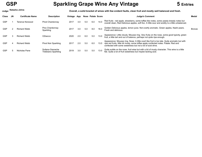**Judge:**

## **GSP Sparkling Grape Wine Any Vintage 5 Entries**



Overall, a solid bracket of wines with few evident faults, clean fruit and mostly well balanced and fresh.

| <b>Class</b> | <b>Certificate Name</b> | <b>Description</b>                      | Vintage | App |     | Nose Palate Score |      | <b>Judge's Comment</b>                                                                                                                                                                                                                               | Medal         |
|--------------|-------------------------|-----------------------------------------|---------|-----|-----|-------------------|------|------------------------------------------------------------------------------------------------------------------------------------------------------------------------------------------------------------------------------------------------------|---------------|
| <b>GSP</b>   | Terence Norwood         | Pinot Chardonnay                        | 2017    | 3.0 | 5.0 | 6.0               | 14.0 | Red fruits - red apple, strawberry, some toffee like notes, some yeasty bready notes but<br>overall clean, Red Delicious apples, soft fizz. A little sour and acidity is a little unbalanced.                                                        |               |
| <b>GSP</b>   | <b>Richard Webb</b>     | Pino Chardonnay<br>Sparkling            | 2017    | 3.0 | 5.0 | 8.0               | 16.0 | Golden Delicious apples, lemon juice. Not overtly aromatic. Green apples, Nashi pears.<br>Fresh and delicious.                                                                                                                                       | <b>Bronze</b> |
| <b>GSP</b>   | <b>Richard Webb</b>     | <b>OZsecco</b>                          | 2020    | 2.0 | 6.0 | 5.0               | 13.0 | Appearance: Little cloudy. Mousse ring. Very fruity on the nose, some good typicity, green<br>fruit, a little tart and out of balance, perhaps not quite ripe enough.                                                                                |               |
| <b>GSP</b>   | <b>Richard Webb</b>     | Pinot Noir Sparkling                    | 2017    | 2.0 | 5.0 | 6.0               | 13.0 | Appearance: Mousse ring. Nose: A little overt like fruit is too late. Quite aromatic but with<br>ripe red fruits, little bit musty, some toffee apple confected notes. Palate: Red and<br>confected with some sweetness but not a lot of acid drive. |               |
| <b>GSP</b>   | Nicholas Pane           | Sultana Grenache<br>Trebbiano Sparkling | 2019    | 3.0 | 5.0 | 5.0               | 13.0 | Quite subtle on the nose, fruit wise but with a bit of musty character. This wine is a little<br>flat. Quite a lot of fruit sweetness but maybe lacking acid.                                                                                        |               |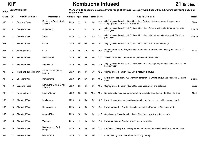**Judge:**

## **KIF Kombucha Infused 21 Entries**

Wonderful to experience such a diverse range of flavours. Category would benefit from brewers delivering booch at **optimum fizz.**

| Class | <b>JN</b>      | <b>Certificate Name</b>   | <b>Description</b>                 | Vintage | App |     | <b>Nose Palate Score</b> |      | <b>Judge's Comment</b>                                                                                                           | <b>Medal</b>  |
|-------|----------------|---------------------------|------------------------------------|---------|-----|-----|--------------------------|------|----------------------------------------------------------------------------------------------------------------------------------|---------------|
| KIF   |                | Suzanne Teese             | Kombucha Passionfruit<br>Infusion  | 2020    | 2.5 | 6.5 | 8.0                      | 17.0 | Slightly low carbonation. Beautiful colour. Fantastic balanced ferment, tastes more<br>vinegary than I like. Passionfruit smell. | Silver        |
| KIF   | 2              | Shepherd Vale             | Ginger Lolly                       | 2020    | 2.5 | 6.5 | 7.0                      | 16.0 | Slightly low carbonation (SLC). Beautiful colour. Sweet smell. Under fermeted tea taste<br>still lingers.                        | <b>Bronze</b> |
| KIF   | 3              | Shepherd Vale             | Vanilla                            | 2020    | 2.5 | 6.5 | 6.5                      | 15.5 | Slightly low carbonation (SLC). Beautiful colour. Mild but non offensive smell. Would be<br>great fizzy.                         | <b>Bronze</b> |
| KIF   | 4              | Shepherd Vale             | Coffee                             | 2020    | 2.5 | 6.5 | 5.0                      | 14.0 | Slightly low carbonation (SLC). Beautiful colour. Not fermented enough.                                                          |               |
| KIF   | 5              | Harridge Family           | Chai                               | 2020    | 3.0 | 7.0 | 9.5                      | 19.5 | Perfect carbonation. Gorgeous colour and head retention. Intense but great balance of<br>flavours.                               | Gold          |
| KIF   | 6              | Shepherd Vale             | <b>Blackcurrent</b>                | 2020    | 2.0 | 5.0 | 4.0                      | 11.0 | Too sweet. Reminds me of Ribena, needs more ferment time.                                                                        |               |
| KIF   | $\overline{7}$ | Shepherd Vale             | Elderflower                        | 2020    | 2.5 | 5.0 | 6.0                      | 13.5 | Slightly low carbonation (SLC). Elderflower mild but lingering earthy/flowery smell. Would<br>be great fizzy.                    |               |
| KIF   | 8              | Mario and Izabella Fantin | Kombucha Raspberry<br>Lemon        | 2020    | 2.5 | 4.5 | 5.0                      | 12.0 | Slightly low carbonation (SLC). Mild nose. Mild flavour.                                                                         |               |
| KIF   | 9              | Shepherd Vale             | Pomegranite                        | 2020    | 2.0 | 6.0 | 8.0                      | 16.0 | Looks dirty (bad dirty). VLS (very low carbonation) Strong flavour and balanced. Beautiful<br>nose.                              | <b>Bronze</b> |
| KIF   | 10             | <b>Suzanne Teese</b>      | Kombucha Lime & Ginger<br>Infusion | 2020    | 2.5 | 6.5 | 9.0                      | 18.0 | Slightly low carbonation (SLC). Balanced nose. Zesty and delicious.                                                              | Silver        |
| KIF   | 11             | Harridge Family           | Lemon Ginger                       | 2020    | 2.5 | 6.5 | 10.0                     | 19.0 | No head but almost perfect carbonation. Sweet balanced nose. PERFECT flavour.                                                    | Gold          |
| KIF   | 12             | Shepherd Vale             | Mockaccino                         | 2020    | 1.0 | 3.5 | 6.0                      | 10.5 | Looks like cough syrup. Needs carbonation and to be served with a creamy head.                                                   |               |
| KIF   | 13             | Shepherd Vale             | Date & Almond                      | 2020    | 1.0 | 5.0 | 2.0                      | 8.0  | Looks greasy, flat. Smells interesting but not like Kombucha. Way too sweet.                                                     |               |
| KIF   | 14             | Shepherd Vale             | Jee and Tee                        | 2020    | 2.0 | 6.0 | 3.0                      | 11.0 | Smells zesty. No carbonation. Lots of tea flavour not fermented enough.                                                          |               |
| KIF   | 15             | Shepherd Vale             | Turmeric                           | 2020    | 1.5 | 3.0 | 3.0                      | 7.5  | Looks radioactive. Smells turmeric and nothing else.                                                                             |               |
| KIF   | 16             | Shepherd Vale             | <b>Blueberry and Red</b><br>Ginger | 2020    | 2.0 | 5.0 | 6.0                      | 13.0 | Fresh but not very Kombuchery. Great carbonation but would benefit from ferment time.                                            |               |
| KIF   | 17             | Shepherd Vale             | <b>Garden Mint</b>                 | 2020    | 1.5 | 4.0 | 6.0                      |      | 11.5 Overpowering mint. No Kombucha coming through.                                                                              |               |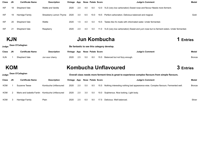| <b>Class</b> | JN. | <b>Certificate Name</b> | <b>Description</b>     | Vintage App |     |     | Nose Palate Score |      | <b>Judge's Comment</b>                                                                | Medal |
|--------------|-----|-------------------------|------------------------|-------------|-----|-----|-------------------|------|---------------------------------------------------------------------------------------|-------|
| KIF          | 18  | Shepherd Vale           | Wattle and Vanilla     | 2020        | 2.0 | 4.0 | 6.0               | 12.0 | VLS (very low carbonation) Sweet nose and flavour Needs more ferment.                 |       |
| KIF          | 19  | Harridge Family         | Strawberry Lemon Thyme | 2020        | 3.0 | 6.5 | 10.0              |      | 19.5 Perfect carbonation. Delicious balanced and magical.                             | Gold  |
| KIF          | 20  | Shepherd Vale           | Wattle                 | 2020        | 1.5 | 4.0 | 5.0               | 10.5 | Tastes like it's made with chlorinated water. Under fermented.                        |       |
| <b>KIF</b>   | 21  | Shepherd Vale           | Raspberry              | 2020        | 2.0 | 4.0 | 5.0               | 11.0 | VLS (very low carbonation) Sweet and yum nose but no ferment esters. Under fermented. |       |

## **KJN Jun Kombucha 1 Entries**

|            |     | Judge: Dean O'Callaghan |                    |                               |     |     |     | Be fantastic to see this category develop. |                        |               |
|------------|-----|-------------------------|--------------------|-------------------------------|-----|-----|-----|--------------------------------------------|------------------------|---------------|
| Class      | JN. | <b>Certificate Name</b> | <b>Description</b> | Vintage App Nose Palate Score |     |     |     |                                            | <b>Judge's Comment</b> | Medal         |
| <b>KJN</b> |     | Shepherd Vale           | Jun sour cherry    | 2020                          | 2.5 | 5.0 | 8.0 | 15.5 Balanced but not fizzy enough.        |                        | <b>Bronze</b> |

## **KOM Kombucha Unflavoured 3 Entries**

| Judge:       |    | Dean O'Callaghan          |                      | Overall class needs more ferment time. Is great to experience complex flavours from simple flavours. |     |     |                   |      |                                                                                         |        |  |  |  |  |
|--------------|----|---------------------------|----------------------|------------------------------------------------------------------------------------------------------|-----|-----|-------------------|------|-----------------------------------------------------------------------------------------|--------|--|--|--|--|
| <b>Class</b> | JN | <b>Certificate Name</b>   | <b>Description</b>   | Vintage App                                                                                          |     |     | Nose Palate Score |      | <b>Judge's Comment</b>                                                                  | Medal  |  |  |  |  |
| <b>KOM</b>   |    | Suzanne Teese             | Kombucha Unflavoured | 2020                                                                                                 | 2.0 | 5.0 | 8.5               |      | 15.5 Nothing interesting nothing bad appearance wise. Complex flavours. Fermented well. | Bronze |  |  |  |  |
| KOM          |    | Mario and Izabella Fantin | Kombucha Unflavoured | 2020                                                                                                 | 2.0 | 3.0 | 5.0               | 10.0 | Sulpherous. Nice looking. Light body.                                                   |        |  |  |  |  |
| <b>KOM</b>   |    | Harridge Family           | Plain                | 2020                                                                                                 | 2.5 | 6.0 | 9.0               | 17.5 | Delicious, Well balanced,                                                               | Silver |  |  |  |  |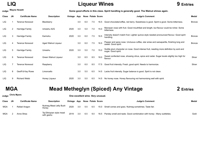## **LIQ Liqueur Wines 9 Entries**

| Judge:     |    | <b>Wayne Hewett</b>     |                      | Some good efforts in this class. Spirit handling is generally good. The Walnut shines again. |     |     |                          |      |                                                                                                                |               |  |  |  |  |  |
|------------|----|-------------------------|----------------------|----------------------------------------------------------------------------------------------|-----|-----|--------------------------|------|----------------------------------------------------------------------------------------------------------------|---------------|--|--|--|--|--|
| Class      | JN | <b>Certificate Name</b> | <b>Description</b>   | Vintage App                                                                                  |     |     | <b>Nose Palate Score</b> |      | <b>Judge's Comment</b>                                                                                         | <b>Medal</b>  |  |  |  |  |  |
| LIQ.       |    | <b>Terence Norwood</b>  | Blackberry           |                                                                                              | 3.0 | 6.0 | 7.5                      | 16.5 | Good chocolate/coffee, red berry. Sweetness is good. Spirit is good. Some bitterness.                          | Bronze        |  |  |  |  |  |
| LIQ.       | 2  | Harridge Family         | Umeshu A2G           | 2020                                                                                         | 3.0 | 5.0 | 7.0                      | 15.0 | Marzipan nose with fruit. Good mouthfeel and length, but flavour could be richer. Some<br>bitterness.          |               |  |  |  |  |  |
| <b>LIQ</b> | 3  | Harridge Family         | Karinshu             | 2020                                                                                         | 3.0 | 6.0 | 7.5                      | 16.5 | Intensity doesn't match fruit. Lighter quince style needed pronounced flavour. Good spirit<br>handling.        | Bronze        |  |  |  |  |  |
| LIQ.       | 4  | <b>Terence Norwood</b>  | Aged Walnut Liqueur  |                                                                                              | 3.0 | 6.0 | 7.5                      | 16.5 | Pepper and spice nose. Unctuous coffee, star anise and sarsaparilla, finishing long and<br>sweet. Good spirit. | <b>Bronze</b> |  |  |  |  |  |
| LIQ        | 5  | Harridge Family         | Umeshu               | 2020                                                                                         | 3.0 | 5.0 | 7.0                      | 15.0 | Subtle plum character on nose. Good intense fruit, needing more definition by acid and<br>sugar. Good spirit.  |               |  |  |  |  |  |
| LIQ.       | 6  | <b>Terence Norwood</b>  | Green Walnut Liqueur |                                                                                              | 3.0 | 6.5 | 8.5                      | 18.0 | Sweet confected nose, showing citrus, spice and cedar. Sugar levels slightly too high for<br>flavour.          | Silver        |  |  |  |  |  |
| <b>LIQ</b> |    | <b>Terence Norwood</b>  | Raspberry            |                                                                                              | 3.0 | 6.0 | 8.5                      | 17.5 | Good fruit intensity. Fresh, good spirit. Needs to harmonize.                                                  | Silver        |  |  |  |  |  |
| LIQ        | 8  | Geoff & Kay Rowe        | Limoncello           |                                                                                              | 3.0 | 5.0 | 6.5                      | 14.5 | Lacks fruit intensity. Sugar balance is good. Spirit is not clean.                                             |               |  |  |  |  |  |
| LIQ.       | 9  | <b>Richard Webb</b>     | Honey Liqueur        | 2020                                                                                         | 3.0 | 5.0 | 6.5                      |      | 14.5 No honey nose. Honey flavouring not harmonising well with spirit.                                         |               |  |  |  |  |  |

## **MGA Mead Metheglyn (Spiced) Any Vintage 2 Entries**

| Judge:       |    | <b>Chris Myers</b>      |                                        |             |     | One excellent wine. Very unusual. |                   |      |                                                                              |       |
|--------------|----|-------------------------|----------------------------------------|-------------|-----|-----------------------------------|-------------------|------|------------------------------------------------------------------------------|-------|
| <b>Class</b> | JN | <b>Certificate Name</b> | <b>Description</b>                     | Vintage App |     |                                   | Nose Palate Score |      | <b>Judge's Comment</b>                                                       | Medal |
| <b>MGA</b>   |    | Rafael Aragon           | Nutmeg Mead Jelly Bush<br>Honev        | 2020        | 3.0 | 5.5                               | 6.5               | 15.0 | Smell comes and goes. Nutmeg sometimes. Taste fair.                          |       |
| <b>MGA</b>   |    | Anne Shea               | Tej Ethiopian style mead<br>with gesho | 2019        | 3.0 | 6.5                               | 9.0               |      | 18.5 Parsley smell and taste. Good combination with honey - Many subtleties. | Gold  |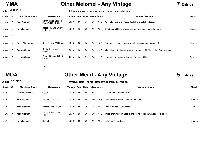**Judge: Chris Myers**

## **MMA Other Melomel - Any Vintage 7 Entries**

### **Interesting class. Good variety of fruits. Honey a bit light.**

| <b>Class</b> | JN | <b>Certificate Name</b> | <b>Description</b>                       | Vintage App |     |     | <b>Nose Palate Score</b> |      | <b>Judge's Comment</b>                                                        | <b>Medal</b>  |
|--------------|----|-------------------------|------------------------------------------|-------------|-----|-----|--------------------------|------|-------------------------------------------------------------------------------|---------------|
| <b>MMA</b>   |    | Nick Wiseman            | Caramelised Banana<br>Mead 1.111 - 1.012 | 2020        | 3.0 | 5.5 | 6.0                      | 14.5 | Very little banana on nose. Could have a slight infection.                    |               |
| MMA          |    | Rafael Aragon           | Raspberry and Cherry<br>Melomel          | 2020        | 2.5 | 6.0 | 7.0                      | 15.5 | Raspberry a little overpowering on nose. Lack honey flavours.                 | <b>Bronze</b> |
| MMA          | 3  |                         |                                          |             |     |     |                          |      |                                                                               |               |
| MMA          |    | David Attenborough      | Dried Cherry Wildflower                  | 2020        | 3.0 | 5.5 | 8.0                      | 16.5 | Faint cherry nose. Unusual smell. Honey comes through later.                  | <b>Bronze</b> |
| <b>MMA</b>   |    | <b>Swingett Mead</b>    | Rhubarb and Vanilla<br>mead              | 2020        | 3.0 | 5.0 | 6.0                      | 14.0 | Slight disinfectant nose. Very hot - almost chilli. Very spicy. Contaminated. |               |
| MMA          | 6  | ngett Mead              | Ginger Lime and Chilli<br>mead           | 2020        | 3.0 | 5.5 | 7.0                      | 15.5 | Lime and chilli masking honey. Hot mouth filling.                             | <b>Bronze</b> |

Myrtle mead

**MOA Other Mead - Any Vintage 5 Entries**

| Judge:       |           | <b>Chris Myers</b>      | Unusual class - no real stars among them. Interesting. |             |     |     |                          |      |                                                                          |               |  |  |  |  |  |
|--------------|-----------|-------------------------|--------------------------------------------------------|-------------|-----|-----|--------------------------|------|--------------------------------------------------------------------------|---------------|--|--|--|--|--|
| <b>Class</b> | <b>JN</b> | <b>Certificate Name</b> | <b>Description</b>                                     | Vintage App |     |     | <b>Nose Palate Score</b> |      | <b>Judge's Comment</b>                                                   | Medal         |  |  |  |  |  |
| MOA          |           | Libby Hatzimichalis     | Cyser                                                  | 2020        | 3.0 | 5.5 | 4.5                      | 13.0 | SO2 on nose, Infected, Brett.                                            |               |  |  |  |  |  |
| <b>MOA</b>   |           | Nick Wiseman            | Bochet 1.114 - 1.012                                   | 2020        | 3.0 | 6.5 | 7.0                      | 16.5 | Good burnt caramel. Good caramel taste.                                  | Bronze        |  |  |  |  |  |
| <b>MOA</b>   |           | Nick Wiseman            | Bochet 1.118 - 1.016                                   | 2020        | 3.0 | 6.0 | 6.5                      | 15.5 | Faint burnt nose, Good taste.                                            | <b>Bronze</b> |  |  |  |  |  |
| <b>MOA</b>   |           | Nick Wiseman            | Shiraz Mead 1.102 -<br>1.006                           | 2020        | 2.5 | 6.0 | 6.0                      | 14.5 | Shiraz prominent on nose. Honey faint. A little thin. Not a lot of body. |               |  |  |  |  |  |
| <b>MOA</b>   |           | Rafael Aragon           | <b>Bochet</b>                                          | 2020        | 3.0 | 6.0 | 7.0                      | 16.0 | Toffee nose - Earthier.                                                  | <b>Bronze</b> |  |  |  |  |  |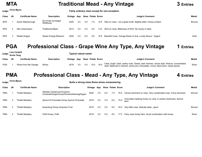**Judge:**

## **MTA Traditional Mead - Any Vintage 3 Entries**

### **Chris Myers Fairly ordinary class except for one exception.**

| <b>Class</b> | JN. | <b>Certificate Name</b> | <b>Description</b>               | Vintage App |     |     | Nose Palate Score |      | <b>Judge's Comment</b>                                                | Medal  |
|--------------|-----|-------------------------|----------------------------------|-------------|-----|-----|-------------------|------|-----------------------------------------------------------------------|--------|
| <b>MTA</b>   |     | David Attenborough      | Dry Kviek Gundagai<br>Wildflower | 2020        | 3.0 | 5.0 | 7.5               |      | 15.5 Wax on nose - not a great smell. Slightly bitter. Honey evident. | Bronze |
| <b>MTA</b>   |     | Neil Johannesen         | <b>Traditional Mead</b>          | 2013        | 3.0 | 4.5 | 6.0               |      | 13.5 SO2 on nose. Bitterness of SO2. No honey in taste.               |        |
| <b>MTA</b>   |     | Rafael Aragon           | Sweet Orange Blossom             | 2020        | 3.0 | 6.5 | 9.0               | 18.5 | Beautiful nose. Orange flower to fore. Lovely flavour - lingers.      | Gold   |

### **PGA Professional Class - Grape Wine Any Type, Any Vintage 1 Entries**

|            | Lisa Cardelli<br>"dge: Annie Tang |                    |                               |     | <b>Typical robust sweet</b> |      |                                                                                                                                                                                                                                         |              |
|------------|-----------------------------------|--------------------|-------------------------------|-----|-----------------------------|------|-----------------------------------------------------------------------------------------------------------------------------------------------------------------------------------------------------------------------------------------|--------------|
| Class JN   | <b>Certificate Name</b>           | <b>Description</b> | Vintage App Nose Palate Score |     |                             |      | <b>Judge's Comment</b>                                                                                                                                                                                                                  | <b>Medal</b> |
| <b>PGA</b> | Wines from My Garage              | Shiraz             | 2019                          | 3.0 | 5.0                         | 10.0 | Clear, bright. Dark, earthy nose. Sweet, dark cherries, robust style. Robust, concentrated<br>$18.0$ $\frac{U_{\text{total}}}{U_{\text{total}}}$<br>style. Balanced in alcohol, some juicy mid-palate, cocoa, black plum, sweet spices. | Silver       |

## **PMA Professional Class - Mead - Any Type, Any Vintage 4 Entries**

| Judge:       |    | <b>Chris Myers</b>      | Quite a strong class. Some wines overpowering.                        |         |     |     |                   |      |                                                                         |               |
|--------------|----|-------------------------|-----------------------------------------------------------------------|---------|-----|-----|-------------------|------|-------------------------------------------------------------------------|---------------|
| <b>Class</b> | JN | <b>Certificate Name</b> | <b>Description</b>                                                    | Vintage | App |     | Nose Palate Score |      | <b>Judge's Comment</b>                                                  | Medal         |
| <b>PMA</b>   |    | Thistle Meadery         | Valhalla CardamomCinnamon<br>CorianderGingerClovesPementoNutmegPepper | 2020    | 3.0 | 6.0 | 7.5               | 16.5 | Cloves dominant on nose. Very complicated nose. Clove dominant.         | <b>Bronze</b> |
| <b>PMA</b>   |    | Thistle Meaderv         | Apricot & Chocolate Honey Apricot Chocolate                           | 2019    | 3.0 | 5.5 | 6.5               | 15.0 | Chocolate masking honey on nose. A certain harshness. Apricot<br>faint. |               |
| <b>PMA</b>   |    | Thistle Meaderv         | Quandong Honey Quandon Fruit                                          | 2019    | 2.5 | 5.0 | 8.5               | 16.0 | Very little nose. Delicate taste - good.                                | <b>Bronze</b> |
| <b>PMA</b>   |    | Thistle Meaderv         | Chilli Honey, Chilli                                                  | 2019    | 3.0 | 6.0 | 8.0               | 17.0 | Fiery nose honey faint. Good combination with honey.                    | Silver        |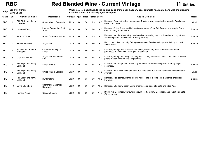## **RBC Red Blended Wine - Current Vintage 11 Entries**



| Judge:       |     | <b>Sandrine Gimon</b><br><b>Mavis Zhang</b> | When you let good fruit do the talking good things can happen. Best example has really done well the blending<br>exercise.then some already aged examples. |             |     |     |                   |      |                                                                                                                                           |               |  |  |  |  |  |  |
|--------------|-----|---------------------------------------------|------------------------------------------------------------------------------------------------------------------------------------------------------------|-------------|-----|-----|-------------------|------|-------------------------------------------------------------------------------------------------------------------------------------------|---------------|--|--|--|--|--|--|
| <b>Class</b> | JN. | <b>Certificate Name</b>                     | <b>Description</b>                                                                                                                                         | Vintage App |     |     | Nose Palate Score |      | <b>Judge's Comment</b>                                                                                                                    | Medal         |  |  |  |  |  |  |
| <b>RBC</b>   |     | Phil Blight and Jenny<br>Lokhorst           | Shiraz Mataro Sagrantino                                                                                                                                   | 2020        | 3.0 | 7.0 | 8.5               | 18.5 | Dark red. Dark fruit, spice, orange peel. Palate is spicy, crunchy but smooth. Good use of<br>blend component.                            | Gold          |  |  |  |  |  |  |
| <b>RBC</b>   |     | Harridge Family                             | Lagrein Sagrantino Durif<br>Shiraz                                                                                                                         | 2020        | 3.0 | 7.0 | 6.0               | 16.0 | Dark red. Spice, flower vanilla/sweet oak - fennel. Good fruit flavours and length. Some<br>dark brooding notes. Warm.                    | <b>Bronze</b> |  |  |  |  |  |  |
| <b>RBC</b>   |     | <b>Tarabilli Wines</b>                      | Shiraz Cab Sauv Malbec                                                                                                                                     | 2020        | 3.0 | 7.0 | 6.5               | 16.5 | Dark red, red black hue. Very dark brooding nose - big oak - on the edge of porty. Spice.<br>Same on palate - very smooth. Bacony smokey. | <b>Bronze</b> |  |  |  |  |  |  |
| <b>RBC</b>   |     | <b>Renato Vecchies</b>                      | Sagrantino                                                                                                                                                 | 2020        | 3.0 | 7.0 | 6.0               | 16.0 | Red crimson. Dark crunchy fruit - pomegranate. Good crunchy palate. Acidity in check.<br>Sweet finish.                                    | Bronze        |  |  |  |  |  |  |
| <b>RBC</b>   |     | Michele and Richard<br>Martignetti          | Cabernet Sauvignon<br>Shiraz                                                                                                                               | 2020        | 2.5 | 6.0 | 5.5               | 14.0 | Dark red, orange hue. Stressed fruit - tired, secondary nose. Same on palate and<br>greenness in the middle. Falling out of condition.    |               |  |  |  |  |  |  |
| <b>RBC</b>   |     | Glen van Neuren                             | Sagrantino Shiraz 50%<br>50%                                                                                                                               | 2020        | 3.0 | 5.5 | 6.5               | 15.0 | Dark red, orange hue. Very brooding nose - dark jammy fruit - nose is unsettled. Same on<br>palate but can hold the line - big tannins.   |               |  |  |  |  |  |  |
| <b>RBC</b>   |     | Phil Blight and Jenny<br>Lokhorst           | Shiraz Mataro                                                                                                                                              | 2020        | 3.0 | 6.5 | 6.5               | 16.0 | Dark red and orange hue. Spice, soy-ish nose. Generous rich palate. Starting to go<br>secondary.                                          | <b>Bronze</b> |  |  |  |  |  |  |
| <b>RBC</b>   |     | Phil Blight and Jenny<br>Lokhorst           | Shiraz Mataro Lagrein                                                                                                                                      | 2020        | 3.0 | 7.0 | 7.5               | 17.5 | Dark red. Black olive nose and dark fruit. Very dark fruit palate. Good concentration and<br>strength.                                    | Silver        |  |  |  |  |  |  |
| <b>RBC</b>   |     | Phil Blight and Jenny<br>Lokhorst           | <b>Durif Mataro</b>                                                                                                                                        | 2020        | 3.0 | 6.5 | 6.0               | 15.5 | Dark red. Red berries. Dark brooding nose. Note of alcohol, cc, black fruit, chocolate.<br>Forward.                                       | Bronze        |  |  |  |  |  |  |
| <b>RBC</b>   | 10  | <b>David Chambers</b>                       | Sagrantino Cabernet<br>Sauvignon                                                                                                                           | 2020        | 3.0 | 6.0 | 6.0               | 15.0 | Dark red. Lifted dirty nose? Some greenness on base of palate and lifted. VA?                                                             |               |  |  |  |  |  |  |
| <b>RBC</b>   |     | <b>Richard Webb</b>                         | <b>Cabernet Merlot</b>                                                                                                                                     | 2020        | 2.5 | 6.0 | 6.0               | 14.5 | Brown red. Secondary flavours spectrum. Porty, jammy. Secondary and sweet on palate.<br>OX is coming.                                     |               |  |  |  |  |  |  |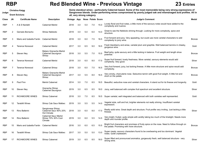**Christina Kaigg<br>Judge: Grant Scicluna** 

## **RBP Red Blended Wine - Previous Vintage 23 Entries**

Some standout wines - particularly Cabernet based. Some of the most memorable being very strong expressions of **Sangiovese blends. Under-performing wines compromised by poorly judged oak and mismanaged acid profiles. All in all, very strong category.** 

| Class      | JN             | <b>Certificate Name</b>   | Description                                                      | Vintage | App |     | <b>Nose Palate Score</b> |      | <b>Judge's Comment</b>                                                                                                                    | Medal         |
|------------|----------------|---------------------------|------------------------------------------------------------------|---------|-----|-----|--------------------------|------|-------------------------------------------------------------------------------------------------------------------------------------------|---------------|
| RBP        |                | A & S Nardelli            | <b>Cabernet Merlot</b>                                           | 2018    | 3.0 | 5.0 | 7.0                      | 15.0 | Lovely floral and fruit notes, a little more of the savoury notes would have added to the<br>complexity and nuance.                       |               |
| <b>RBP</b> | $\overline{2}$ | Gerrado Borracho          | Shiraz Nebbolio                                                  | 2019    | 3.0 | 5.0 | 6.0                      | 14.0 | Great to see the Nebbiolo shining through. Looking for more complexity, spice and<br>structure.                                           |               |
| <b>RBP</b> | 3              | Mario and Izabella Fantin | <b>Cabernet Merlot</b>                                           | 2018    | 3.0 | 6.0 | 7.5                      | 16.5 | Fruit forward and juicy. Very appealing, but could use more varietal characters to add<br>complexity to juicy wine.                       | <b>Bronze</b> |
| <b>RBP</b> | 4              | <b>Terence Norwood</b>    | <b>Cabernet Merlot</b>                                           | 2017    | 3.0 | 6.5 | 9.0                      | 18.5 | Fresh blackberry and anise, varietal plum and graphite. Well balanced tannins in cheeky,<br>gorgeous wine.                                | Gold          |
| <b>RBP</b> | 5              | Steven Ney                | Mataro Grenache Merlot<br>Cabernet Sauvignon<br>Shiraz           | 2018    | 3.0 | 5.5 | 7.0                      | 15.5 | Beef jerky, quite savoury and a little lacking in balance. Fruit weight and length show<br>potential.                                     | <b>Bronze</b> |
| <b>RBP</b> | 6              | <b>Terence Norwood</b>    | <b>Cabernet Merlot</b>                                           | 2018    | 3.0 | 6.0 | 8.0                      | 17.0 | Super fruit forward, lovely freshness. More varietal, savoury elements would add<br>complexity. Very good.                                | Silver        |
| <b>RBP</b> |                | <b>Terence Norwood</b>    | <b>Cabernet Shiraz</b>                                           | 2018    | 3.0 | 6.0 | 7.5                      | 16.5 | Very fruit forward, juicy, but lacking finesse. A little more structure and spice would add<br>complexity.                                | <b>Bronze</b> |
| <b>RBP</b> | 8              | Steven Ney                | Mataro Grenache Merlot<br>Cabernet Sauvignon<br>Shiraz           | 2017    | 3.0 | 5.5 | 8.0                      | 16.5 | Very smoky, charcuterie nose. Seductive tannin with good fruit weight. A little hot and<br>short on the palate.                           | <b>Bronze</b> |
| <b>RBP</b> | 9              | Paul Finn                 | <b>Merlot Cabernet</b>                                           | 2014    | 3.0 | 7.0 | 8.5                      | 18.5 | Beautiful, seductive nose and varietal characters. A stand out for its finesse and longevity.                                             | Gold          |
| <b>RBP</b> | 10             | Steven Ney                | Grenache Shiraz<br>Cabernet Sauvignon                            | 2019    | 3.0 | 6.5 | 8.5                      | 18.0 | Juicy, well balanced with complex fruit spectrum and excellent structure.                                                                 | Silver        |
| <b>RBP</b> | -11            | <b>RICHMOORE WINES</b>    | Shiraz Cabernet                                                  | 2018    | 3.0 | 7.0 | 8.5                      | 18.5 | Super varietal, well integrated and balanced with both varieties well represented.                                                        | Gold          |
| <b>RBP</b> | 12             | <b>Tarabilli Wines</b>    | Shiraz Cab Sauv Malbec                                           | 2019    | 3.0 | 5.5 | 5.5                      | 14.0 | Vegetal style, soft and hot, brighter elements not really shining. Insufficient varietal<br>expression.                                   |               |
| <b>RBP</b> | 13             | Rino Ballerini            | Sangiovese Shiraz<br>Cabernet Sauv 80% 20%<br><b>Hot Climate</b> | 2018    | 3.0 | 6.0 | 8.0                      | 17.0 | Really solid wine. Great depth and structure. Fruit profile very inviting. Just lacking a little<br>finesse.                              | Silver        |
| <b>RBP</b> | 14             | Rino Ballerini            | <b>Cabernet Sauv Merlot</b><br>Shiraz 70% 30% Cool<br>Climate    | 2019    | 3.0 | 6.0 | 5.5                      | 14.5 | Very bright, fruited, quite simple with acidity taking too much of the limelight. Needs more<br>depth and rounder profile.                |               |
| RBP        | 15             | Mario and Izabella Fantin | <b>Cabernet Merlot</b>                                           | 2016    | 3.0 | 6.0 | 6.5                      | 15.5 | Bright fruit characters and promises of fruity spice on the nose. Need to follow through on<br>the palate. Promising with more structure. | <b>Bronze</b> |
| RBP        | 16             | Tarabilli Wines           | Shiraz Cab Sauv Malbec                                           | 2017    | 3.0 | 5.0 | 5.0                      | 13.0 | Super meaty, savoury characters found to be overbearing and too dominant. Vegetal<br>notes. Quite unpleasant.                             |               |
| RBP        | 17             | <b>RICHMOORE WINES</b>    | <b>Shiraz Cabernet</b>                                           | 2019    | 3.0 | 6.5 | 8.5                      | 18.0 | Super lifted and pronounced aromatics, gorgeously fresh, well balanced structure - very<br>strong wine.                                   | Silver        |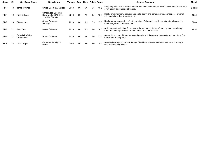| <b>Class</b> | JN. | <b>Certificate Name</b>      | <b>Description</b>                                            | Vintage | App |     | Nose Palate Score |      | <b>Judge's Comment</b>                                                                                                                             | Medal         |
|--------------|-----|------------------------------|---------------------------------------------------------------|---------|-----|-----|-------------------|------|----------------------------------------------------------------------------------------------------------------------------------------------------|---------------|
| <b>RBP</b>   | 18  | Tarabilli Wines              | Shiraz Cab Sauv Malbec                                        | 2018    | 3.0 | 6.0 | 6.5               | 15.5 | Intriguing nose with delicious pepper and smoky characters. Falls away on the palate with<br>overt acidity and lacking structure.                  | <b>Bronze</b> |
| <b>RBP</b>   | 19  | Rino Ballerini               | Sangiovese Cabernet<br>Sauv Merlot 60% 28%<br>12% Hot Climate | 2018    | 3.0 | 7.0 | 8.5               | 18.5 | Really great harmony between varietals, depth and complexity in abundance. Powerful,<br>still needs time, but fantastic wine.                      | Gold          |
| <b>RBP</b>   | 20  | Steven Ney                   | <b>Shiraz Cabernet</b><br>Sauvignon                           | 2018    | 3.0 | 6.5 | 7.5               | 17.0 | Really strong expression of both varietals, Cabernet in particular. Structurally could be<br>more integrated in terms of oak.                      | Silver        |
| <b>RBP</b>   | 21  | Paul Finn                    | <b>Merlot Cabernet</b>                                        | 2013    | 3.0 | 6.5 | 9.0               | 18.5 | A shy nose of seductive florals and subdued musky tones. Opens up to a remarkably<br>fresh and plush palate with refined tannin and real vivacity. | Gold          |
| <b>RBP</b>   | 22  | DaMcDiPa Wine<br>Cooperative | <b>Shiraz Cabernet</b>                                        | 2019    | 3.0 | 6.0 | 6.0               | 15.0 | A promising nose of fresh herbs and purple fruit. Disappointing palate and structure. Oak<br>should better integrated.                             |               |
| <b>RBP</b>   | 23  | David Pope                   | Cabernet Sauvignon<br>Merlot                                  | 2006    | 3.0 | 5.0 | 6.0               | 14.0 | A wine showing too much of its age. Tired in expression and structure. Acid is sitting a<br>little unpleasantly. Past it.                          |               |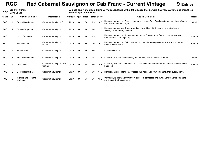## **RCC** Red Cabernet Sauvignon or Cab Franc - Current Vintage 9 Entries

| Judge:     |           | <b>Sandrine Gimon</b><br><b>Mavis Zhang</b> | A black and white class. Some very stressed fruit, with all the issues that go with it. A very VA wine and then three<br>beautifully crafted wines. |             |     |     |                          |      |                                                                                                                              |               |  |  |  |  |
|------------|-----------|---------------------------------------------|-----------------------------------------------------------------------------------------------------------------------------------------------------|-------------|-----|-----|--------------------------|------|------------------------------------------------------------------------------------------------------------------------------|---------------|--|--|--|--|
| Class      | <b>JN</b> | <b>Certificate Name</b>                     | <b>Description</b>                                                                                                                                  | Vintage App |     |     | <b>Nose Palate Score</b> |      | <b>Judge's Comment</b>                                                                                                       | Medal         |  |  |  |  |
| <b>RCC</b> |           | <b>Russell Washusen</b>                     | Cabernet Sauvignon S                                                                                                                                | 2020        | 3.0 | 7.0 | 8.5                      | 18.5 | Dark red, purple hue. Green undercurrent, cassis fruit. Good palate and structure. Wine is<br>well made and true to style.   | Gold          |  |  |  |  |
| <b>RCC</b> | 2         | Danny Cappellani                            | Cabernet Sauvignon                                                                                                                                  | 2020        | 3.0 | 6.0 | 6.0                      | 15.0 | Dark red, orange hue. Porty nose. Dirty tank. Lifted. Disjointed wine acetaldehyde.<br>Already on secondary flavours.        |               |  |  |  |  |
| <b>RCC</b> | 3         | David Chambers                              | Cabernet Sauvignon                                                                                                                                  | 2020        | 3.0 | 6.0 | 6.5                      | 15.5 | Dark red, purple hue. Some crunched apple. Flowery note. Same on palate - savoury<br>undercurrent - starting to age.         | <b>Bronze</b> |  |  |  |  |
| <b>RCC</b> |           | <b>Peter Enness</b>                         | Cabernet Sauvignon<br><b>Briars</b>                                                                                                                 | 2020        | 3.0 | 6.0 | 7.0                      | 16.0 | Dark red, purple hue. Oak dominant on nose. Same on palate but some fruit underneath<br>and wine well made.                  | <b>Bronze</b> |  |  |  |  |
| <b>RCC</b> | 5         | Nathan Ueda                                 | Cabernet Sauvignon                                                                                                                                  | 2020        | 3.0 | 4.0 | 6.0                      | 13.0 | Dark crimson. VA.                                                                                                            |               |  |  |  |  |
| <b>RCC</b> | 6         | <b>Russell Washusen</b>                     | Cabernet Sauvignon O                                                                                                                                | 2020        | 3.0 | 7.0 | 7.5                      | 17.5 | Dark red. Red fruit. Good acidity and crunchy fruit. Wine is well made.                                                      | Silver        |  |  |  |  |
| <b>RCC</b> |           | David Hart                                  | Cabernet Sauvignon Cool<br>Climate                                                                                                                  | 2020        | 3.0 | 6.5 | 6.0                      | 15.5 | Dark red, blue hue. Dark cocoa nose. Some savoury undercurrent. Tannins are soft. Wine<br>balanced.                          | Bronze        |  |  |  |  |
| <b>RCC</b> | 8         | Libby Hatzimichalis                         | Cabernet Sauvignon                                                                                                                                  | 2020        | 3.0 | 5.5 | 6.0                      | 14.5 | Dark red. Stressed ferment, stressed fruit nose. Dark fruit on palate, then sugary porty.                                    |               |  |  |  |  |
| <b>RCC</b> | q         | Michele and Richard<br>Martignetti          | Cabernet Sauvignon                                                                                                                                  | 2020        | 3.0 | 5.5 | 5.0                      | 13.5 | Very dark, sprintzy. Dark fruit very stressed, compoted and burnt. Earthy. Same on palate -<br>not pleasant. Stressed fruit. |               |  |  |  |  |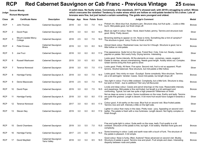## **RCP Red Cabernet Sauvignon or Cab Franc - Previous Vintage 25 Entries**

**Judge:**

| Duncan Moody        | A solid class. No faulty wines. Conversely, a few standouts. 2017's showed well, with 2019's struggling to unfurl. Wines |
|---------------------|--------------------------------------------------------------------------------------------------------------------------|
|                     | which overcame the varieties! Tendency to make wines which are hollow on mid-palate tended to hit a silver. Lots of      |
| Richard Martignetti | bronzes were fine, but just lacked a certain something. The golds were youngest and oldest.                              |

| Class      | JN             | <b>Certificate Name</b>         | <b>Description</b>                  | Vintage | App |     | <b>Nose Palate Score</b> |      | <b>Judge's Comment</b>                                                                                                                                                                                                                                           | <b>Medal</b>  |
|------------|----------------|---------------------------------|-------------------------------------|---------|-----|-----|--------------------------|------|------------------------------------------------------------------------------------------------------------------------------------------------------------------------------------------------------------------------------------------------------------------|---------------|
| <b>RCP</b> |                | John Thomas                     | Cabernet Sauvignon                  | 2019    | 3.0 | 5.5 | 7.0                      | 15.5 | Pinkish rim. More blue fruit, blueberry jam. Structure okay, but fruit quite  Looks a little<br>burnt. Mid-palate good, but finish drops off.                                                                                                                    | <b>Bronze</b> |
| <b>RCP</b> | $\overline{2}$ | David Pope                      | Cabernet Sauvignon                  | 2015    | 3.0 | 6.0 | 9.0                      | 18.0 | Black as night in colour. Nose - floral, black fruited, jammy. Tannins and structure look<br>good. Minty. Pretty decent.                                                                                                                                         | Silver        |
| <b>RCP</b> | 3              | Mount Lilydale Mercy<br>College | Cabernet Sauvignon                  | 2018    | 2.5 | 6.0 | 7.5                      | 16.0 | Browning starting to appear on rim. Nose is minty. Something like a hint of camphor?<br>The structure is good. Juicy. Fruits on finish a bit flat.                                                                                                               | <b>Bronze</b> |
| <b>RCP</b> |                | <b>Peter Enness</b>             | Cabernet Sauvignon<br><b>Briars</b> | 2019    | 3.0 | 5.5 | 8.0                      | 16.5 | Almost black colour. Restrained nose, but nice for it though. Structure is good, but a<br>little hollow on mid-palate.                                                                                                                                           | <b>Bronze</b> |
| <b>RCP</b> | 5              | Joe Fruci                       | Cabernet Sauvignon                  | 2018    | 3.0 | 6.0 | 8.0                      | 17.0 | Fine appearance. Quite hot on the nose. Forest floor. Cola. Cola nut, Dewby, roasted,<br>paprika on palate. Not overly fruity. Drying tannins. Interesting.                                                                                                      | Silver        |
| <b>RCP</b> | 6              | <b>Russell Washusen</b>         | Cabernet Sauvignon                  | 2019    | 3.0 | 6.5 | 8.5                      |      | Looks good. Some intensity. All the elements on nose - pyrazines, cassis, eugenol.<br>18.0 Palate is intense, almost overwhelming. Needs good length. Acidity sticks out. Complex.<br>Green tannins bring this from gold to silver.                              | Silver        |
| <b>RCP</b> | 7              | <b>Terence Norwood</b>          | Cabernet Sauvignon                  | 2018    | 3.0 | 6.5 | 7.5                      | 17.0 | Looks good. Pretty. All there. Five spice. Second visit, fruit is not so apparent. Plush<br>tannins. Alcohol balanced. Nice structure, but mid-palate a little hollow.                                                                                           | Silver        |
| <b>RCP</b> | 8              | Harridge Family                 | Cabernet Sauvignon A                | 2019    | 3.0 | 6.0 | 7.5                      | 16.5 | Looks good. Very minty on nose - Eucalypt. Some complexity. Nice structure. Tannins<br>are a bit astringent. Varietal. Cassis. Good mid-palate, but length drops off.                                                                                            | Bronze        |
| <b>RCP</b> | 9              | Denis Mazzocato                 | Cabernet Sauvignon                  | 2019    | 2.5 | 6.0 | 7.5                      | 16.0 | Very light in colour. Fruit a little oxidised. Complexity, but a little funk. Structure is okay,<br>but acid on finish - due to additions? Not very full-flavoured.                                                                                              | <b>Bronze</b> |
| <b>RCP</b> | 10             | David Pope                      | Cabernet Sauvignon                  | 2019    | 3.0 | 6.0 | 7.5                      |      | Lovely and deep colour. Cassis and pencil shavings on the nose. Reasonable intensity<br>16.5 and sweetness. Mid-palate is fine red-fruited, but length is a bit astringent and<br>confronting. Typical, but oak has quite a high presence? Bitterness on finish. | <b>Bronze</b> |
| <b>RCP</b> | 11             | Harridge Family                 | Cabernet Sauvignon A                | 2018    | 3.0 | 6.0 | 8.0                      | 17.0 | Not as deep as some in colour. Some muddiness on the nose. Earthy and leafy. Tannins<br>are quite fine grained. Length is decent. A bit more fruit would have nudged it towards a<br>qold.                                                                       | Silver        |
| <b>RCP</b> | 12             | <b>Terence Norwood</b>          | Cabernet Sauvignon                  | 2017    | 3.0 | 6.0 | 8.5                      | 17.5 | Colour good. A bit earthy on the nose. Blue fruit on second visit. Blue fruited palate.<br>Tannins nice and soft. Intensity a little on the light side.                                                                                                          | Silver        |
| <b>RCP</b> | 13             | Steven Ney                      | Cabernet Sauvignon                  | 2019    | 3.0 | 6.0 | 8.0                      | 17.0 | Lighter in colour than many in the class. Pretty nose - juicy. Appealing on second visit -<br>leafier. The palate is fresh with a nice funkiness. Length decent. Not highly comples on<br>finish though.                                                         | Silver        |
|            |                |                                 |                                     |         |     |     |                          |      |                                                                                                                                                                                                                                                                  |               |
| <b>RCP</b> | 15             | David Chambers                  | Cabernet Sauvignon                  | 2019    | 3.0 | 5.5 | 7.0                      |      | Fine and quite light in colour. Quite earth on the nose, leafy. Fruit quality is a bit<br>15.5 oxidised. Structure of the palate is fine, but light. A bit watery. Wanted more guts and<br>complexity.                                                           | <b>Bronze</b> |
| <b>RCP</b> | 16             | Harridge Family                 | Cabernet Sauvignon                  | 2017    | 2.5 | 6.0 | 8.0                      | 16.5 | Some browning in colour. Leafy and earth nose with a touch of funk. The structure of<br>the palate is pleasant. A bit simple.                                                                                                                                    | <b>Bronze</b> |
| <b>RCP</b> | 17             | David Mayfield                  | Cabernet Sauvignon<br>Yarra Valley  | 2018    | 3.0 | 5.0 | 8.5                      |      | Good colour. Nose is funky, lifted, Acetone? Nose advanced on second visit. Muddy.<br>16.5 Structure of palate is good. Tannins nice and plush. Fruit simple and clean. Interesting<br>disparity between nose and palate.                                        | <b>Bronze</b> |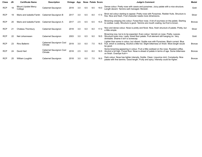| <b>Class</b> | JN. | <b>Certificate Name</b>         | <b>Description</b>                 | Vintage | App |     | Nose Palate Score |      | <b>Judge's Comment</b>                                                                                                                                                                                                | Medal         |
|--------------|-----|---------------------------------|------------------------------------|---------|-----|-----|-------------------|------|-----------------------------------------------------------------------------------------------------------------------------------------------------------------------------------------------------------------------|---------------|
| <b>RCP</b>   | 18  | Mount Lilydale Mercy<br>College | Cabernet Sauvignon                 | 2019    | 3.0 | 6.5 | 9.5               | 19.0 | Dense colour. Pretty nose with cassis and pyrazines. Juicy palate with a nice structure.<br>Length decent. Tannins well managed. Moreish.                                                                             | Gold          |
| <b>RCP</b>   | 19  | Mario and Izabella Fantin       | Cabernet Sauvignon B               | 2017    | 3.0 | 6.5 | 8.0               | 17.5 | Brick red colour starting to appear. Pretty nose with Pyrazines. Redder fruits. Structure is<br>fine. Nice and fresh. Fruit character needs more dimensions.                                                          | Silver        |
| <b>RCP</b>   | 20  | Mario and Izabella Fantin       | Cabernet Sauvignon A               | 2017    | 2.5 | 6.5 | 6.5               | 15.5 | Browning creeping into colour. Forest floor nose. A bit of sourness on the palate. Starting<br>to oxidise. Leafy. Structure is good. Tannins are mouth coating, but fruit is brown.                                   | Bronze        |
| <b>RCP</b>   | 21  | Chateau Thornbury               | Cabernet Sauvignon                 | 2018    | 3.0 | 6.0 | 8.0               | 17.0 | Nice and dense colour. Nose is pretty and floral. Nice, fresh structure of palate. Pretty, but<br>a little simple.                                                                                                    | Silver        |
| <b>RCP</b>   | 22  | Neil Johannesen                 | Cabernet Sauvignon                 | 2003    | 3.0 | 6.5 | 9.0               | 18.5 | Browning now, but is to be expected. Even colour. Varnish on nose. Pretty. Leaves.<br>Structure looks nice. Leafy, forest floor palate. Fruit element still hanging on. Very<br>drinkable. Shame it isn't a screwcap. | Gold          |
| <b>RCP</b>   | 23  | Rino Ballerini                  | Cabernet Sauvignon Cool<br>Climate | 2019    | 3.0 | 6.0 | 7.5               | 16.5 | Lighter than some in colour, but vibrant. Subtle now with Pyrazines. Black currant. Blue<br>fruit, which is oxidising. Alcohol a little hot. Slight bitterness on finish. More length would<br>be good.               | <b>Bronze</b> |
| <b>RCP</b>   | 24  | David Hart                      | Cabernet Sauvignon Cool<br>Climate | 2018    | 2.5 | 6.0 | 8.0               | 16.5 | Some browning appearing in colour. Fruit a little oxidised on the nose. Roasted coffee.<br>Alcohol a bit high. Forest floor. Nose is ahead of palate in terms of age. Some bitterness<br>on finish. Overripe fruit>>  | <b>Bronze</b> |
| <b>RCP</b>   | 25  | William Loughlin                | Cabernet Sauvignon                 | 2018    | 3.0 | 6.0 | 7.5               | 16.5 | Dark colour. Nose has lighter intensity. Subtle. Clean. Liquorice mint. Complexity. Nice<br>palate with fine tannins. Good length. Fruity and spicy. Intensity could be higher.                                       | <b>Bronze</b> |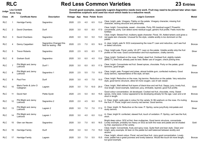## **RLC Red Less Common Varieties 23 Entries**



| Judge:     |                | Lisa Cardelli<br><b>Annie Tang</b> | Overall good examples, especially Lagrein.Sagrantino needs more work. Fruit may need to be picked later when riper.<br>Sometimes sulphuric acid used too much which leads to a reductive result. |             |     |     |                          |      |                                                                                                                                                                                                                       |               |  |  |  |  |  |
|------------|----------------|------------------------------------|--------------------------------------------------------------------------------------------------------------------------------------------------------------------------------------------------|-------------|-----|-----|--------------------------|------|-----------------------------------------------------------------------------------------------------------------------------------------------------------------------------------------------------------------------|---------------|--|--|--|--|--|
| Class      | <b>JN</b>      | <b>Certificate Name</b>            | <b>Description</b>                                                                                                                                                                               | Vintage App |     |     | <b>Nose Palate Score</b> |      | <b>Judge's Comment</b>                                                                                                                                                                                                | <b>Medal</b>  |  |  |  |  |  |
| <b>RLC</b> |                | Harridge Family                    | Sagrantino                                                                                                                                                                                       | 2020        | 2.5 | 4.0 | 6.5                      | 13.0 | Clear, bright, pale. Vinegary. Flabby on the palate. Vinegary character, missing fruit<br>character, lacking structure and personality.                                                                               |               |  |  |  |  |  |
| <b>RLC</b> | 2              | David Chambers                     | Durif                                                                                                                                                                                            | 2020        | 3.0 | 6.0 | 8.0                      | 17.0 | Clear, bright. Concentrate, sweet - chocolate. Porty, RS (residual sugar)? Powerful,<br>concentrate, porty. Can detect some residual sugar, generic fruit profile. Feels more like<br>fortified.                      | Silver        |  |  |  |  |  |
| <b>RLC</b> | 3              | David Chambers                     | Sagrantino                                                                                                                                                                                       | 2020        | 3.0 | 5.0 | 5.0                      | 13.0 | Clear, bright. Stewed fruit, mulberry apple character. Floral, VA. Added tartaric acid gives a<br>red apple skin character. Unusual for the style, volatile acidity is too dominant on the<br>palate.                 |               |  |  |  |  |  |
| <b>RLC</b> | 4              | Danny Cappellani                   | Sagrantino Changed this<br>field for testing - RM                                                                                                                                                | 2020        | 2.5 | 7.0 | 6.5                      | 16.0 | A: clear, bright, pale N: SO2 overpowering the nose P: Lean and reductive, can't see fruit<br>or detect structure.                                                                                                    | Bronze        |  |  |  |  |  |
| <b>RLC</b> | 5              | <b>Trevor Roberts</b>              | Sagrantino                                                                                                                                                                                       | 2020        | 2.5 | 6.5 | 8.5                      | 17.5 | Clear, bright pale. Floral, pretty, VA UFT. Lean on the palate. Volatile acidity strip the fruit<br>profile on the nose. Good concentration and fruit expression, chalky tannins.                                     | Silver        |  |  |  |  |  |
| <b>RLC</b> | 6              | <b>Graham Scott</b>                | Sagrantino                                                                                                                                                                                       | 2020        | 3.0 | 6.0 | 4.0                      | 13.0 | Clear, bright. Oxidised on the nose. Faded, dead fruit. Oxidised fruit, slightly metalic<br>(BRETT), tired fruit, already past its best. Better use of oxygen, check picking time.                                    |               |  |  |  |  |  |
| <b>RLC</b> | $\overline{7}$ | Phil Blight and Jenny<br>Lokhorst  | Durif 1                                                                                                                                                                                          | 2020        | 3.0 | 6.0 | 8.5                      | 17.5 | Clear, bright. Concentrate red fruit. Sweet spices, chocolate. Porty on the palate, good<br>tannnins, good length.                                                                                                    | Silver        |  |  |  |  |  |
| <b>RLC</b> | 8              | Phil Blight and Jenny<br>Lokhorst  | Sagrantino 1                                                                                                                                                                                     | 2020        | 2.5 | 5.5 | 7.5                      | 15.5 | Clear, bright, pale. Pungent and jubee, almost bubble gum, confected mulberry. Good<br>dusty tannins, representative of the style, bit lean.                                                                          | Bronze        |  |  |  |  |  |
| <b>RLC</b> | 9              | Paul Finn                          | Durif                                                                                                                                                                                            | 2020        | 3.0 | 4.5 | 7.5                      | 15.0 | Clear, bright. Reductive on the nose, big tannins. Reductive on the palate. Very reductive<br>style, good tannic structure, allow bit more oxygen, use of oak vessel.                                                 |               |  |  |  |  |  |
| <b>RLC</b> | 10             | Mario Fantin & John O<br>Callaghan | Lagrein                                                                                                                                                                                          | 2020        | 3.0 | 7.0 | 10.0                     | 20.0 | Clear, bright. Well defined fruit layers of black-blue and red fruit. Sappy, juicy, lovely fruit,<br>nice length. Good example, balanced, juicy, drinkable, layered, good fruit profile.                              | Gold          |  |  |  |  |  |
| <b>RLC</b> | 11             | David Hart                         | Petite Syrah                                                                                                                                                                                     | 2020        | 2.5 | 5.0 | 8.0                      | 15.5 | Good colour concentration, bit developed. Cooked red fruit, chocolate, minty. Sweet<br>spices, minty style. Colour appeared to be developing already for the age. Lean and a bit<br>short in length.                  | Bronze        |  |  |  |  |  |
| <b>RLC</b> | 12             | Phil Blight and Jenny<br>Lokhorst  | Sagrantino 2                                                                                                                                                                                     | 2020        | 2.0 | 4.5 | 9.0                      | 15.5 | A: Clear, bright, quite pale in colour for the variety. N: Bit sulphuric on the nose. It's muting<br>the fruit. P: Floral, bright and crunchy red berries. Good tannins.                                              | Bronze        |  |  |  |  |  |
| <b>RLC</b> | 13             | Phil Blight and Jenny<br>Lokhorst  | Lagrein 2                                                                                                                                                                                        | 2020        | 3.0 | 7.0 | 7.0                      | 17.0 | A: Clear, bright. N: Reductive on the nose. P: Spritzy, some juicy/fruity mid-palate and<br>dusty tannins.                                                                                                            | Silver        |  |  |  |  |  |
| <b>RLC</b> | 14             | Phil Blight and Jenny<br>Lokhorst  | Lagrein 1                                                                                                                                                                                        | 2020        | 3.0 | 4.0 | 6.0                      | 13.0 | A: Clear, bright N: confected, stewed fruit, touch of oxidation. P: Spritzy, can't see the fruit,<br>short.                                                                                                           |               |  |  |  |  |  |
| <b>RLC</b> | 15             | Glen van Neuren                    | Sagrantino                                                                                                                                                                                       | 2020        | 3.0 | 7.0 | 8.5                      | 18.5 | Bright deep colour. SO2 at first, then mulberries. Good tannic structure, concentrate.<br>Lovely example, probably too heavy on SO2 as both the nose and palate are bit shaded<br>by that, expressive of the variety. | Gold          |  |  |  |  |  |
| <b>RLC</b> | 16             | Harridge Family                    | Durif                                                                                                                                                                                            | 2020        | 3.0 | 5.0 | 7.0                      | 15.0 | Clear, bright. Concentrate, fruity and spicy nose. Quite fresh and lean style. Clean and<br>bright, spicy example, bit lean on the palate but well balanced between acidity and<br>alcohol.                           |               |  |  |  |  |  |
| <b>RLC</b> | 17             | Harridge Family                    | Lagrein                                                                                                                                                                                          | 2020        | 3.0 | 7.0 | 5.5                      | 15.5 | Clear, bright, vibrant colour. Floral, red and blue fruit. Juicy good concentration. Lovely<br>nose, palate has a great juiciness and lovely balance. Would like touch bit more length,<br>but good example.          | <b>Bronze</b> |  |  |  |  |  |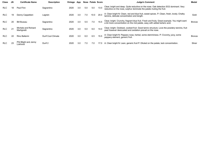| <b>Class</b> | <b>JN</b> | <b>Certificate Name</b>            | <b>Description</b>        | Vintage | App |     | Nose Palate Score |      | <b>Judge's Comment</b>                                                                                                                                                     | Medal         |
|--------------|-----------|------------------------------------|---------------------------|---------|-----|-----|-------------------|------|----------------------------------------------------------------------------------------------------------------------------------------------------------------------------|---------------|
| <b>RLC</b>   | 18        | Paul Finn                          | Sagrantino                | 2020    | 3.0 | 5.0 | 5.0               | 13.0 | Clear, bright and deep. Quite reductive on the nose. Oak detection SO2 dominant. Very<br>reductive on the nose, sulphur dominate the palate muting the fruit.              |               |
| <b>RLC</b>   | 19        | Danny Cappellani                   | Lagrein                   | 2020    | 3.0 | 7.0 | 10.0              | 20.0 | A: Clear bright N: Clean, red and blue fruit, sweet spices. P: Clean, fresh, lovely. Chalky<br>tannins, delicate concentration and length.                                 | Gold          |
| <b>RLC</b>   | 20        | <b>Bill Bussau</b>                 | Sagrantino                | 2020    | 3.0 | 5.5 | 7.0               | 15.5 | Clear, bright. Crunchy, fragrant blue fruit. Fresh and fruity. Great example. You might want<br>a bit more concentration on the mid palate, easy with added tartaric acid. | Bronze        |
| <b>RLC</b>   |           | Michele and Richard<br>Martignetti | Sagrantino                | 2020    | 3.0 | 5.0 | 6.0               | 14.0 | Clear, bright. Oxidised, cooked fruit. Good tannic structure. Love the powdery tannins, fruit<br>peel however desiccated and oxidation prevail on the nose.                |               |
| <b>RLC</b>   |           | Rino Ballerini                     | <b>Durif Cool Climate</b> | 2020    | 3.0 | 6.0 | 6.5               | 15.5 | A: Clear bright N: Peppery nose, herbal, some stemminess. P: Crunchy, juicy, some<br>peppery element, generic fruit.                                                       | <b>Bronze</b> |
| <b>RLC</b>   | 23        | Phil Blight and Jenny<br>_okhorst  | Durif 2                   | 2020    | 3.0 | 7.0 | 7.0               | 17.0 | A: Clear bright N: Lean, generic fruit P: Diluted on the palate, lack concentration.                                                                                       | Silver        |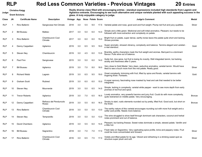## **RLP Red Less Common Varieties - Previous Vintages 20 Entries**

| Judge:     |           | <b>Christina Kaigg</b><br><b>Grant Scicluna</b> | Really diverse class filled with encouraging entries - standout expressions included high standards from Lagrein and<br>Aglianico entrants. Encouraging to see such alternative and unigue varietals planted with such appealing success in the<br>glass. A truly enjoyable category to judge. |             |     |     |                   |      |                                                                                                                                                       |               |  |  |  |  |
|------------|-----------|-------------------------------------------------|------------------------------------------------------------------------------------------------------------------------------------------------------------------------------------------------------------------------------------------------------------------------------------------------|-------------|-----|-----|-------------------|------|-------------------------------------------------------------------------------------------------------------------------------------------------------|---------------|--|--|--|--|
| Class      | <b>JN</b> | <b>Certificate Name</b>                         | <b>Description</b>                                                                                                                                                                                                                                                                             | Vintage App |     |     | Nose Palate Score |      | <b>Judge's Comment</b>                                                                                                                                | Medal         |  |  |  |  |
| <b>RLP</b> |           | Rino Ballerini                                  | Sangiovese Hot Climate                                                                                                                                                                                                                                                                         | 2018        | 3.0 | 5.5 | 9.0               | 17.5 | Varietal palate and nose, good acid and fruit weight. Plump red fruit and juicy qualities.                                                            | Silver        |  |  |  |  |
| <b>RLP</b> | 2         | <b>Bill Bussau</b>                              | Malbec                                                                                                                                                                                                                                                                                         | 2017        | 3.0 | 5.0 | 6.0               | 14.0 | Simple and a little green. Medicinal and soft initial aromatics. Pleasant, but needs to be<br>followed with more extraction and complexity on palate. |               |  |  |  |  |
| <b>RLP</b> | 3         | Rino Ballerini                                  | <b>Chambourcin Cool</b><br>Climate                                                                                                                                                                                                                                                             | 2017        | 3.0 | 6.0 | 6.0               | 15.0 | Bright fruit on palate, super dense, earthy tones leave the palate quite short and lacking.<br>Shows promise.                                         |               |  |  |  |  |
| <b>RLP</b> | 4         | Danny Cappellani                                | Aglianico                                                                                                                                                                                                                                                                                      | 2019        | 3.0 | 6.5 | 9.5               | 19.0 | Super aromatic, showed vibrancy, complexity and balance. Tannins elegant and varietal -<br>a real standout.                                           | Gold          |  |  |  |  |
| <b>RLP</b> | 5         | Steven Ney                                      | Chambourcin                                                                                                                                                                                                                                                                                    | 2019        | 3.0 | 4.5 | 6.0               | 13.5 | Brambly, earthy characters mask the fruit weight and aromas. Barnyard is a dominant<br>flavour. Pulls wine out of balance.                            |               |  |  |  |  |
| <b>RLP</b> | 6         | Paul Finn                                       | Sangiovese                                                                                                                                                                                                                                                                                     | 2015        | 3.0 | 5.0 | 6.0               | 14.0 | Quite hot, nice spice, but fruit is losing its vivacity. Well integrated tannin, but lacking<br>acidity and freshness after 5 years.                  |               |  |  |  |  |
| <b>RLP</b> | 7         | <b>Bill Bussau</b>                              | Aglianico                                                                                                                                                                                                                                                                                      | 2019        | 3.0 | 7.0 | 8.0               | 18.0 | Very close to Gold Medal. Very clean, seductive aromatics, varietal tannin. Would have<br>liked to see a touch more from the mid palate. Really good. | Silver        |  |  |  |  |
| <b>RLP</b> | 8         | <b>Richard Webb</b>                             | Lagrein                                                                                                                                                                                                                                                                                        | 2019        | 3.0 | 6.5 | 9.5               | 19.0 | Great complexity, brimming with fruit, lifted by spice and florals, varietal tannins with<br>lingering finish. Fantastic.                             | Gold          |  |  |  |  |
| <b>RLP</b> | 9         | <b>Graham Scott</b>                             | Rubired                                                                                                                                                                                                                                                                                        | 2019        | 3.0 | 6.0 | 6.0               | 15.0 | A super savoury, fascinating nose masked by heat and oak that needed to be better<br>integrated.                                                      |               |  |  |  |  |
| <b>RLP</b> | 10        | Steven Ney                                      | Mourverde                                                                                                                                                                                                                                                                                      | 2019        | 3.0 | 5.0 | 6.5               | 14.5 | Simple, lacking in complexity, varietal white pepper - want to see more depth from early<br>promise of red fruit and spice.                           |               |  |  |  |  |
| <b>RLP</b> | 11        | <b>Trevor Roberts</b>                           | Aglianico                                                                                                                                                                                                                                                                                      | 2019        | 3.0 | 7.0 | 6.5               | 16.5 | Lovely aromatics, very powerful tannins and juicy fruit. Could do with more complexity,<br>quite restrained on middle palate. Very encouraging.       | <b>Bronze</b> |  |  |  |  |
| <b>RLP</b> | 12        | Danny Cappellani                                | Refosco del Penduncolo<br>Rosso                                                                                                                                                                                                                                                                | 2019        | 3.0 | 5.5 | 8.0               | 16.5 | Smoky to start, rustic elements rounded out by pretty, lifted fruit. Good acid, but short on<br>the finish.                                           | <b>Bronze</b> |  |  |  |  |
| <b>RLP</b> | 13        | Rino Ballerini                                  | <b>Chambourcin Cool</b><br>Climate                                                                                                                                                                                                                                                             | 2018        | 3.0 | 5.0 | 5.0               | 13.0 | The earthy nature of this varietal encourages rounding out with more fruit weight and a<br>softer acid profile. Needs more balance.                   |               |  |  |  |  |
| <b>RLP</b> | 14        | Steven Ney                                      | Tempranillo                                                                                                                                                                                                                                                                                    | 2019        | 3.0 | 5.0 | 5.0               | 13.0 | The wine struggled to show itself through dominant oak characters, coconut and herbal<br>notes prominent and out of balance.                          |               |  |  |  |  |
| <b>RLP</b> | 15        | David Chambers                                  | Aglianico                                                                                                                                                                                                                                                                                      | 2019        | 3.0 | 5.5 | 6.0               | 14.5 | Pleasant, but lacking finesse. Sweet notes dominate a simple, stewed palate. Vanillin and<br>a little hot.                                            |               |  |  |  |  |
| <b>RLP</b> | 16        | <b>Bill Bussau</b>                              | Sagrantino                                                                                                                                                                                                                                                                                     | 2018        | 3.0 | 7.0 | 7.0               | 17.0 | Fresh take on Sagrantino. Very captivating spice profile, brine and peppery notes. Fruit<br>could be more concentrated and forward.                   | Silver        |  |  |  |  |
| <b>RLP</b> | 17        | Rino Ballerini                                  | Chambourcin Cool<br>Climate                                                                                                                                                                                                                                                                    | 2016        | 3.0 | 6.5 | 7.5               | 17.0 | Violets and lifted palate for its age. Vibrant and refreshing in a drinking sweet spot as<br>structure super plush and soft.                          | Silver        |  |  |  |  |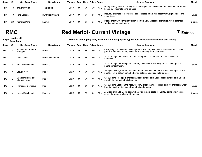| <b>Class</b> | JN. | <b>Certificate Name</b> | <b>Description</b> | Vintage | App |     | Nose Palate Score |      | <b>Judge's Comment</b>                                                                                                               | Medal         |
|--------------|-----|-------------------------|--------------------|---------|-----|-----|-------------------|------|--------------------------------------------------------------------------------------------------------------------------------------|---------------|
| <b>RLP</b>   | 18  | <b>Trevor Drysdale</b>  | Tempranillo        | 2018    | 3.0 | 5.0 | 5.0               | 13.0 | Really broody, dark and meaty wine. While powerful finishes hot and bitter. Needs lift and<br>lighter fruit weight to bring balance. |               |
| <b>RLP</b>   | 19  | Rino Ballerini          | Durif Cool Climate | 2019    | 3.0 | 6.5 | 8.5               | 18.0 | Beautiful example of the varietal, concentrated palate with great fruit weight, power and<br>complexity.                             | Silver        |
| <b>RLP</b>   | 20  | Nicholas Pane           | Lagrein            | 2019    | 3.0 | 6.5 | 6.5               | 16.0 | Really bright with very pretty plush red fruit. Very appealing aromatics. Great potential -<br>wants more concentration.             | <b>Bronze</b> |

## RMC **Red Merlot- Current Vintage 7 Entries**

| Judge:     |           | Lisa Cardelli<br><b>Annie Tang</b>  | Work on developing body, work on stem usag (quantity) to allow for fruit concentration and acidity. |         |     |     |                          |      |                                                                                                                                                                       |        |  |  |  |  |  |
|------------|-----------|-------------------------------------|-----------------------------------------------------------------------------------------------------|---------|-----|-----|--------------------------|------|-----------------------------------------------------------------------------------------------------------------------------------------------------------------------|--------|--|--|--|--|--|
| Class      | <b>JN</b> | <b>Certificate Name</b>             | <b>Description</b>                                                                                  | Vintage | App |     | <b>Nose Palate Score</b> |      | <b>Judge's Comment</b>                                                                                                                                                | Medal  |  |  |  |  |  |
| <b>RMC</b> |           | Michele and Richard<br>Martignetti  | Merlot                                                                                              | 2020    | 3.0 | 5.0 | 6.0                      | 14.0 | Clear, bright. Tomato leaf, olive tapenade. Peppery plum, some earthy element. Leafy,<br>green, lean on the palate, hint of plum but mostly stem character.           |        |  |  |  |  |  |
| <b>RMC</b> |           | Vicki Lemm                          | Merlot House Vine                                                                                   | 2020    | 3.0 | 5.0 | 6.0                      | 14.0 | A: Clear, bright. N: Cooked fruit. P: Quite generic on the palate. Lack definition and<br>character.                                                                  |        |  |  |  |  |  |
| <b>RMC</b> | 3         | <b>Russell Washusen</b>             | Merlot O                                                                                            | 2020    | 3.0 | 7.0 | 7.0                      | 17.0 | A: Clear, bright. N: Red plum, cherries, some cocoa. P: Lovely round palate, good mid-<br>palate concentration.                                                       | Silver |  |  |  |  |  |
| <b>RMC</b> |           | Steven Ney                          | Merlot                                                                                              | 2020    | 1.0 | 6.0 | 6.0                      | 13.0 | Very pale colour, rose like. Generic fruit on the nose, thin and RS (residual sugar) on the<br>palate. Thin in colour, some body (mid palate). Good example for rose. |        |  |  |  |  |  |
| <b>RMC</b> | 5         | Daniel Petrecca and<br>Shannon Dyer | Merlot                                                                                              | 2020    | 3.0 | 5.0 | 7.0                      | 15.0 | Clear, bright. Red apple character. Added tartaric acid. Lean, added tartaric acid. Shows<br>up with the red apple fruit character.                                   |        |  |  |  |  |  |
| <b>RMC</b> | 6         | Francesco Bevacqua                  | Merlot                                                                                              | 2020    | 3.0 | 6.0 | 8.0                      | 17.0 | Clear, bright. Leafy on the nose. Stemmy, green tannins. Herbal, stemmy character. Green<br>hard tannins from the stem. Some fruit underneath.                        | Silver |  |  |  |  |  |
| <b>RMC</b> |           | <b>Russell Washusen</b>             | Merlot S                                                                                            | 2020    | 3.0 | 7.0 | 6.5                      | 16.5 | A: Clear, bright. N: Some earthy character, tomato paste. P: Spritzy, some sweet spice,<br>plum, black cherry, chalky, bit rubbery.                                   | Bronze |  |  |  |  |  |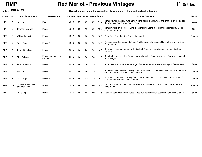## **RMP Red Merlot - Previous Vintages 11 Entries**

**Judge: Natasha Johns Overall <sup>a</sup> good bracket of wines that showed mouth-filling fruit and softer tannins. Class JN Certificate Name Description Vintage App Nose Palate Score Judge's Comment Medal** RMP 1 Paul Finn Merlot 2018 3.0 6.0 8.0 17.0 Some stewed brambly fruits here, mocha notes, blackcurrant and bramble on the palate. Stewed fruits and chewy tannin - nice. Silver RMP 2 Terence Norwood Merlot 2019 3.0 7.0 9.0 19.0 Some lift here on the nose. Smells like Merlot!! Some nice cigar box complexity. Good structure, sweet fruit. Gold RMP 3 William Loughlin Merlot 2017 3.0 5.5 7.0 15.5 Good fruit. Short tannins. Not a lot of length. RMP 4 David Pope Merlot B 2019 3.0 5.0 6.0 14.0 Fruit concentrated but not defined. Fruit tastes a little cooked. Not a lot of grip to offset. Good length. RMP 5 Trevor Drysdale Merlot 2019 3.0 4.0 8.0 15.0 Smells a little green and not quite finished. Good fruit, good concentration, nice tannin, savoury. RMP 6 Rino Ballerini Merlot Heathcote Hot Climate 2018 3.0 5.0 7.0 15.0 Dark fruits, mocha notes. Some cheesy character. Good upfront fruit. Tannins bit too soft. Short length. RMP 7 Terence Norwood Merlot 2018 3.0 7.0 7.5 17.5 Smells like Merlot. Nice herbal edge. Good fruit. Tannins a little astringent. Shorter finish. Silver RMP 8 Paul Finn Merlot 2017 3.0 5.0 7.5 15.5 Some brambly fruits but not very overt or aromatic on nose - very little tannins to balance out fruit but good fruit, nice savoury wine. Bronze RMP 9 David Pope Merlot A 2019 3.0 5.5 7.5 16.0 Not a lot on the nose. Brambly fruit, fruits of the forest. Lots of sweet fruit - not a lot of structure to balance it out but nice fruit. Bronze RMP 10 Daniel Petrecca and Daniel Petrecca and Merlot 1988 100 100 100 100 100 2019 10.0 10.5 8.0 15.5 Very herbal on the nose. Lots of fruit concentration but quite juicy too. Would like a bit more tannin. Bronze RMP 11 David Pope Merlot Merlot 2018 3.0 6.5 8.0 17.5 Good fruit and nice herbal notes. Good fruit concentration but some good chewy tannin. Silver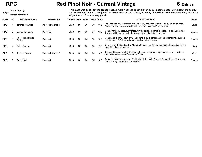**ichard Martignetti**

**Judge:**

## **RPC Red Pinot Noir - Current Vintage 6 Entries**



Duncan Moody **State of the State of This class was good**, but the grapes needed more ripeness to get a bit of body in some cases. Bring down the acidity and soften the tannins. A couple of the wines were out of balance, probably due to fruit, not the wine-making. A couple **R of good ones. One was very good.**

| <b>Class</b> | JN. | <b>Certificate Name</b>             | <b>Description</b> | Vintage | App |     | Nose Palate Score |      | <b>Judge's Comment</b>                                                                                                                                                   | Medal         |
|--------------|-----|-------------------------------------|--------------------|---------|-----|-----|-------------------|------|--------------------------------------------------------------------------------------------------------------------------------------------------------------------------|---------------|
| <b>RPC</b>   |     | Terence Norwood                     | Pinot Noir Cuvee 1 | 2020    | 3.0 | 6.0 | 9.0               | 18.0 | The nose had a light intensity red strawberry and floral. Some liquid oxidation on nose.<br>Palate had good length. Vanilla, soft fruit. Tannins nice. P, has guts.      | Silver        |
| <b>RPC</b>   |     | <b>Edmond Lefebure</b>              | Pinot Noir         | 2020    | 3.0 | 6.0 | 6.5               | 15.5 | Clean strawberry nose. Earthiness. On the palate, the fruit is a little sour and under-ripe.<br>Balance a little out. A touch of astringency and the finish is not long. | <b>Bronze</b> |
| <b>RPC</b>   |     | <b>Russell and Petrea</b><br>Savige | Pinot Noir         | 2020    | 3.0 | 5.5 | 8.0               | 16.5 | Clean nose, clearly strawberry. The palate is quite simple and one dimensional, but it's a<br>nice dimension! Only strawberries needs another element.                   | <b>Bronze</b> |
| <b>RPC</b>   |     | Beige Pureau                        | Pinot Noir         | 2020    | 3.0 | 6.0 | 8.0               | 17.0 | Nose has fed fruit and earthy. More earthiness than fruit on the palate. Interesting. Acidity<br>pretty high, but can be fruit                                           | Silver        |
| <b>RPC</b>   |     | Terence Norwood                     | Pinot Noir Cuvee 2 | 2020    | 3.0 | 6.5 | 9.0               | 18.5 | Banana skins and black fruit give a rich nose. Very good length. Acidity carries fruit and<br>earthiness as well as coffee note on finish.                               | Gold          |
| <b>RPC</b>   |     | David Hart                          | <b>Pinot Noir</b>  | 2020    | 3.0 | 6.0 | 6.5               | 15.5 | Clean, bramble fruit on nose. Acidity slightly too high. Additions? Length fine. Tannins are<br>mouth coating. Balance not quite right.                                  | <b>Bronze</b> |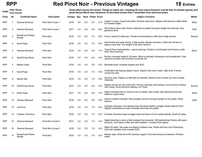**Judge:**

## **RPP Red Pinot Noir - Previous Vintages 18 Entries**



Great effort across the board. Things to watch are: creeping VA and colour. However overall lots of varietal typicity and **Aine Conran great flavour.Much less instances of microbial issues than I remember from previous years.**

| Class      | JN             | <b>Certificate Name</b>             | <b>Description</b> | Vintage | App |     | <b>Nose Palate Score</b> |      | <b>Judge's Comment</b>                                                                                                                                                       | Medal         |
|------------|----------------|-------------------------------------|--------------------|---------|-----|-----|--------------------------|------|------------------------------------------------------------------------------------------------------------------------------------------------------------------------------|---------------|
| RPP        |                | <b>Terence Norwood</b>              | Pinot Noir Cuvee 1 | 2019    | 3.0 | 6.0 | 8.5                      | 17.5 | Lighter in colour. Good fruit profile. Finishes quite short. Maybe work ferment a little harder<br>to increase length.                                                       | Silver        |
| RPP        | $\overline{2}$ | <b>Terence Norwood</b>              | Pinot Noir Cuvee 1 | 2017    | 3.0 | 6.0 | 9.5                      | 18.5 | Still holding colour well. Nose is delicate but palate has good weight and intensity. Very<br>generous wine.                                                                 | Gold          |
| <b>RPP</b> | 3              | <b>Russell and Petrea</b><br>Savige | <b>Pinot Noir</b>  | 2019    | 3.0 | 6.0 | 7.0                      | 16.0 | Fruit is vibrant if a little ripe. Throws out the balance a little due to high alcohol.                                                                                      | <b>Bronze</b> |
| <b>RPP</b> | 4              | David Pope                          | <b>Pinot Noir</b>  | 2018    | 3.0 | 5.0 | 7.0                      | 15.0 | Dark fruited and quite broody. A little grubby. Maybe reductive. A little rack off lees or<br>splash could help. The weight of the wine carries it.                          |               |
| RPP        | 5              | <b>Terence Norwood</b>              | Pinto Noir         | 2015    | 3.0 | 6.0 | 8.0                      | 17.0 | Typical Pinot characteristics - pencil shavings. Palate is a bit forward and finishes a little<br>short. Nice structure.                                                     | Silver        |
| RPP        | 6              | Geoff & Kay Rowe                    | <b>Pinot Noir</b>  | 2019    | 3.0 | 4.5 | 6.5                      | 14.0 | Bunchy character leads to VA spike. Wine is intensely herbaceous and unbalanced. Care<br>needs to be taken with bunches to prevent VA.                                       |               |
| RPP        |                | Nathan Ueda                         | <b>Pinot Noir</b>  | 2019    | 3.0 | 4.0 | 6.0                      | 13.0 | Microbial issue. Increase hygiene and SO2.                                                                                                                                   |               |
| RPP        | 8              | David Pope                          | <b>Pinot Noir</b>  | 2019    | 3.0 | 5.0 | 7.0                      | 15.0 | Confected note belying deeper colour. Slightly Cab-mac in style. High level of tannin<br>carries the wine.                                                                   |               |
| RPP        | 9              | Steven Ney                          | <b>Pinot Noir</b>  | 2019    | 3.0 | 5.0 | 7.0                      | 15.0 | Savoury nose. Palate is a little light on intensity. Need to work to draw out more varietal<br>character.                                                                    |               |
| RPP        | 10             | Geoff & Kay Rowe                    | <b>Pinot Noir</b>  | 2013    | 2.0 | 5.5 | 8.0                      | 15.5 | Slightly cloudy but very solid wine. Primary character still holding in and turning to tertiary.<br>Very meaty. Good structure helping a lot I think.                        | <b>Bronze</b> |
| RPP        | 11             | David Pope                          | <b>Pinot Noir</b>  | 2017    | 3.0 | 6.0 | 8.0                      | 17.0 | Slight microbial note on nose but not on palate. Dark fruited, with great structure and<br>balance. A good wine.                                                             | Silver        |
| <b>RPP</b> | 12             | <b>Terence Norwood</b>              | <b>Pinot Noir</b>  | 2016    | 3.0 | 6.5 | 9.5                      | 19.0 | Intense varietal character. Nice powdery tannins and good length on the palate. Great<br>balance.                                                                            | Gold          |
| <b>RPP</b> | 13             | Joe Fruci                           | <b>Pinot Noir</b>  | 2019    | 3.0 | 4.5 | 7.5                      | 15.0 | Overripe character. A bit stewed fruity. But lends itself to a bigger, bolder style of Pinot.<br>Slightly overworked so loses character and dries the palate.                |               |
| RPP        | 14             | Chateau Thornbury                   | <b>Pinot Noir</b>  | 2019    | 3.0 | 5.0 | 7.0                      | 15.0 | Overripe character leads to bigger style and loses a bit of varietal typicity. Small VA spike.                                                                               |               |
| <b>RPP</b> | 15             | <b>Terence Norwood</b>              | Pinot Noir Cuvee 2 | 2017    | 2.0 | 5.0 | 7.5                      | 14.5 | Slight browning to wine, a little oxidised fruit character. Still maintaining Pinocity with good<br>structure. Just needs a little care with oxidation. Increase SO2 regime. |               |
| RPP        | 16             | <b>Terence Norwood</b>              | Pinot Noir Cuvee 2 | 2019    | 2.0 | 5.0 | 7.5                      | 14.5 | Slight VA spike. Very pale and slightly oxidised nose. Palate still has a bit of freshness.<br>Care with oxidation and increase SO2.                                         |               |
| RPP        | 17             | Russell and Petrea<br>Savige        | <b>Pinot Noir</b>  | 2015    | 3.0 | 5.0 | 7.0                      | 15.0 | Meatier style. Small bit of RS (residual sugar) in the wine throws out balance. Finishes<br>sweet.                                                                           |               |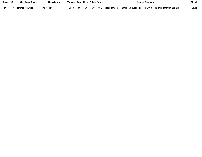| Class JN   | <b>Certificate Name</b> | <b>Description</b> | Vintage App Nose Palate Score |  |  | <b>Judge's Comment</b>                                                                                     | Medal  |
|------------|-------------------------|--------------------|-------------------------------|--|--|------------------------------------------------------------------------------------------------------------|--------|
| <b>RPP</b> | 18 Terence Norwood      | Pinot Noir         |                               |  |  | 2018 3.0 6.0 9.0 18.0 Heaps of varietal character. Structure is good with nice balance of tannin and acid. | Silver |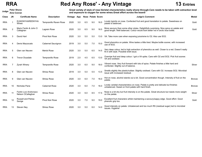## **RRA Red Any Rose' - Any Vintage 13 Entries**

| Judge:     |     | <b>Peter Shone</b><br>Aine Conran          |                         |             |     |     |                   |      | Great variety of style of rose. Varietal characteristics really shone through. Care needs to be taken with extraction level<br>and exposure to oxygen for some wines. Great effort across the board! |               |
|------------|-----|--------------------------------------------|-------------------------|-------------|-----|-----|-------------------|------|------------------------------------------------------------------------------------------------------------------------------------------------------------------------------------------------------|---------------|
| Class      | JN. | <b>Certificate Name</b>                    | <b>Description</b>      | Vintage App |     |     | Nose Palate Score |      | <b>Judge's Comment</b>                                                                                                                                                                               | <b>Medal</b>  |
| <b>RRA</b> |     | <b>EUNONYHAREENYHA</b><br>Wines            | Tempranillo Raven Rose  | 2020        | 3.0 | 6.5 | 9.0               | 18.5 | Lovely typicity on nose. Confected fruit and good translation to palate. Sweetness on<br>palate is balanced.                                                                                         | Gold          |
| <b>RRA</b> | 2   | Mario Fantin & John O<br>Callaghan         | Lagrein Rose            | 2020        | 3.0 | 6.5 | 9.0               | 18.5 | More savoury than some other styles. Delightfully surprising. Nice spice on palate and<br>good length. Well balanced. Colour would look better not in arctic blue bottle.                            | Gold          |
| <b>RRA</b> | 3   | David Hart                                 | <b>Pinot Noir Rose</b>  | 2020        | 3.0 | 5.0 | 5.0               | 13.0 | VA. Take more care when exposing juice/wine to O2. Also use SO2.                                                                                                                                     |               |
| <b>RRA</b> |     | Denis Mazzocato                            | Cabernet Sauvignon      | 2019        | 3.0 | 5.0 | 7.0               | 15.0 | Good phenolics on palate. Wine tastes a little tired. Maybe bottle sooner, with increased<br>use of SO2.                                                                                             |               |
| <b>RRA</b> | 5   | Glen van Neuren                            | Merlot Rose             | 2020        | 3.0 | 5.0 | 6.5               | 14.5 | Very deep colour, led to high extraction of phenolics as well. Closer to a red. Doesn't really<br>fit in with style. Possible brett issue.                                                           |               |
| <b>RRA</b> | 6   | <b>Trevor Drysdale</b>                     | <b>Tempranillo Rose</b> | 2019        | 2.0 | 4.5 | 6.5               | 13.0 | Overripe fruit and deep colour. I got a VA spike. Care with O2 and SO2. Pick fruit sooner.<br>VA and oxidised.                                                                                       |               |
| <b>RRA</b> |     | <b>Zyrah Winery</b>                        | <b>Tempranillo Rose</b> | 2020        | 3.0 | 6.0 | 9.0               | 18.0 | Vibrant nose. Very fruit forward with lots of spice. Palate finishes a little hard and<br>confected. Slightly out of balance.                                                                        | Silver        |
| <b>RRA</b> | 8   | Glen van Neuren                            | <b>Shiraz Rose</b>      | 2019        | 3.0 | 5.0 | 5.5               | 13.5 | Smells slightly like plastic/rubber. Slightly oxidised. Care with O2. Increase SO2. Microbial<br>issue with increased residual.                                                                      |               |
| <b>RRA</b> | 9   | Glen van Neuren                            | <b>Shiraz Rose</b>      | 2020        | 3.0 | 6.0 | 7.0               | 16.0 | Hot on nose, alcohol stands out a bit. Good concentration though. Intensity of fruit on the<br>palate.                                                                                               | <b>Bronze</b> |
| <b>RRA</b> | 10  | Nicholas Pane                              | <b>Cabernet Rose</b>    | 2020        | 3.0 | 6.0 | 7.0               | 16.0 | Lovely varietal characteristics on nose. Palate is pretty and delicate but finishes<br>unbalanced. Sweet on front palate with hard finish.                                                           | <b>Bronze</b> |
| <b>RRA</b> | 11  | Fantin Loci Andronaco<br>Nelson OCallaghan | <b>Shiraz Rose</b>      | 2020        | 3.0 | 6.0 | 8.5               | 17.5 | Nose is a bit shy but fruit intensity is on the palate. Great structure but needs more weight<br>on the palate.                                                                                      | Silver        |
| <b>RRA</b> | 12  | <b>Russell and Petrea</b><br>Savige        | Pinot Noir Rose         | 2020        | 3.0 | 7.0 | 9.0               | 19.0 | Excellent fruit characters whilst maintaining a savoury/sappy edge. Good effort. Good<br>phenolic grip too.                                                                                          | Gold          |
| <b>RRA</b> | 13  | Steven Ney                                 | Shiraz Rose             | 2020        | 3.0 | 5.0 | 6.0               | 14.0 | Good intensity on palate. Unbalanced and too much RS (residual sugar) led to microbial<br>issues. Hygiene!                                                                                           |               |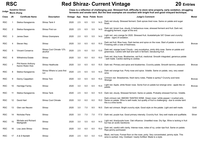## **RSC Red Shiraz- Current Vintage 20 Entries**



**Judge:** Sandrine Gimon Sargety, early oxidation, struggling Class is a reflection of challenging year. Stressed fruit, difficulty to store wine properly, early oxidation, struggling Mavis Zhang **the Consense of the Consense of the State Consense of the State Consense of the State Consense of th Class JN Certificate Name Description Vintage App Nose Palate Score Judge's Comment Medal** RSC 1 Stelios Karagiannis Shiraz Tank II 2020 2.5 6.5 5.5 14.5 Dark red cloudy. Stressed ferment. Dark spices tired nose. Same on palate and sugar finish. RSC 2 Stelios Karagiannis Shiraz First run 2020 2.5 6.5 5.5 14.5 Dark red, brown hue, cloudy. A herbacious nose, stressed ferment and fruit. Dark red, struggling ferment, sugar at the end. RSC 3 James Dean Shiraz Grampians 2020 2.0 6.5 5.5 14.0 Light red, very orange for 2020. Stressed fruit. Acetaldehyde VA? Green and crunchy palate - signs of oxidation. RSC 4 Steven Ney Shiraz 2020 3.0 6.5 6.0 15.5 Dark red fruit. Blue hues. Dark berries and spice on the nose. Start of palate is smooth. Finishing with a note of freshness. Bronze RSC 5 Vincent Conserva Shiraz Cool Climate 12% alcohol 2020 2.5 6.0 5.0 13.5 Dark red, orange hues! Cloudy - very eucalyptus, minty dirty nose. Same on palate and greenness. Careful with leaf and bark in ferment. Denaturing fruit. RSC 6 Wilhelmina Estate Shiraz 2020 3.0 6.0 6.0 15.0 Dark red, blue hues. Blueberries, red fruit, medicinal. Smooth integrated, generous palate - well made. Careful starting to oxidise. RSC 7 Phil Kemm Anthony Kemm Robin Hick Shiraz Heathcote 2020 3.0 6.5 6.0 15.5 Dark red. Primary and spice and blueberries. Crunchy palate. Smooth tannins, pleasant. Bronze RSC 8 Stelios Karagiannis Shiraz Where is Lexis first run 2020 2.5 6.5 5.5 14.5 Dark red orange hue. Porty nose and spice. Volatile. Same on palate, very, very sweet wine. RSC 9 Danny Cappellani Shiraz Tom 2020 3.0 6.5 6.0 15.5 Crimson red. Strawberries, fresh berry notes. Palate is spritzy? Crunchy acid twist. Strange. Bronze RSC 10 Harridge Family Shiraz 2020 3.0 6.0 6.5 15.5 Light red. Apple, white flower nose. Some fruit on palate but strange wine - apple like on palate. Bronze RSC 11 Stelios Karagiannis Shiraz Tank 2020 2.5 6.0 6.0 14.5 Dark red, cloudy. Stressed ferment. Same on palate. Probably stressed fruit too. Volatile. RSC 12 David Hart Shiraz Cool Climate 2020 3.0 6.0 6.0 15.0 Dark crimson red. SMOKE TAINTED WINE. Green nose / white pepper / crushed ants. Same on palate. Wine is well made, but quality of fruit is challenging - due to smoke taint this is a time bomb. RSC 13 Glen van Neuren Shiraz 601 2020 3.0 7.0 8.5 18.5 Dark red crimson. Bright crunchy style. Good style on the palate. Light and well made. Gold RSC 14 Nicholas Pane Shiraz 6. Silver 2020 3.0 7.0 7.0 17.0 Dark red, purple hue. Good primary intensity. Crunchy fruit. Very well made and quaffable. Silver RSC 15 Michele and Richard **Martignetti** Shiraz 2020 3.0 5.5 6.0 14.5 Light red, blue/purple hues. Oak influence. Unsettled nose. Dry figs. Wine is lacking in fruit but has an acidic backbone. RSC 16 Lisa Jane Shiraz Shiraz 2020 3.0 6.0 6.0 15.0 Dark red, careful with clarity. Intense nose, notes of ivy, under ripe fruit. Same on palate. Ripe jammy port/sweet. RSC 17 A & S Nardelli Shiraz 2020 2.5 6.0 5.0 13.5 Black, red hues. Forrest floor on the nose, porty. Very concentrated, jammy style. This wine is worked. Inky. Oxidised / nearly fortified. Made to a style.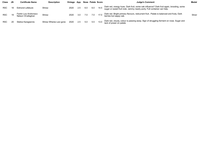| <b>Class</b> | JN | <b>Certificate Name</b>                    | <b>Description</b>      | Vintage App |     |     |     | Nose Palate Score | <b>Judge's Comment</b>                                                                                                                                             | <b>Medal</b> |
|--------------|----|--------------------------------------------|-------------------------|-------------|-----|-----|-----|-------------------|--------------------------------------------------------------------------------------------------------------------------------------------------------------------|--------------|
| <b>RSC</b>   | 18 | Edmond Lefebure                            | Shiraz                  | 2020        | 2.5 | 6.0 | 6.0 | 14.5              | Dark red, orangy hues. Dark fruit, some oak influence? Dark fruit again, brooding, some<br>sugar or sweet fruit note. Jammy nearly porty. Full container can help. |              |
| <b>RSC</b>   | 19 | Fantin Loci Andronaco<br>Nelson OCallaghan | Shiraz                  | 2020        | 3.0 | 7.0 | 7.0 | 17.0              | Dark red. Bright primary flavours, redcurrant fruit Palate is balanced and fruity. Dark<br>berries but sappy oak.                                                  | Silver       |
| <b>RSC</b>   | 20 | Stelios Karagiannis                        | Shiraz Wheres Lexi gone | 2020        | 2.5 | 5.0 | 5.5 | 13.0              | Dark red, cloudy, colour is passing away. Sign of struggling ferment on nose. Sugar and<br>lack of power on palate.                                                |              |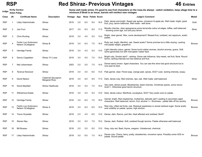## **RSP Red Shiraz- Previous Vintages 46 Entries**

| Judge:     |    | <b>Kirilly Gordon</b><br><b>Adam Paleg</b> |                                      |             |     |     |                          |      | Some well made wines. It's good to see fruit characters on the nose.As always - watch oxidation, keep ullage time to a<br>minimum. If Brett is an issue, barrels will reinfect new vintages |               |
|------------|----|--------------------------------------------|--------------------------------------|-------------|-----|-----|--------------------------|------|---------------------------------------------------------------------------------------------------------------------------------------------------------------------------------------------|---------------|
| Class      | JN | <b>Certificate Name</b>                    | <b>Description</b>                   | Vintage App |     |     | <b>Nose Palate Score</b> |      | <b>Judge's Comment</b>                                                                                                                                                                      | Medal         |
| <b>RSP</b> | 1  | Libby Hatzimichalis                        | Shiraz                               | 2019        | 3.0 | 6.5 | 9.0                      | 18.5 | Dark, dense and bright. Sweet oak spices, cinnamon & apple pie. Well made, bright, great<br>fruit, juicy, tannin balanced. Well made - well done.                                           | Gold          |
| <b>RSP</b> | 2  | Joe Fruci                                  | Shiraz                               | 2017        | 3.0 | 6.0 | 8.0                      | 17.0 | Morello cherries, clear appearance, some terracotta colour at edges, toffee, well balanced<br>- showing some age, but soft juicy tannin.                                                    | Silver        |
| <b>RSP</b> | 3  | <b>Chris Runting</b>                       | Shiraz                               | 2019        | 3.0 | 4.5 | 5.5                      | 13.0 | Bright, clear garnet. Wax, some development? Stewed fruit, oxidised, red capsicum, acetic<br>palate.                                                                                        |               |
| <b>RSP</b> | 4  | Fantin Loci Andronaco<br>Nelson OCallaghan | Shiraz B                             | 2019        | 3.0 | 6.0 | 7.5                      | 16.5 | Ruby red, bright. Menthol, oak. Sweet acetic? Some promise but a little cloying. Lacking<br>mid palate weight, grapefruit.                                                                  | <b>Bronze</b> |
| <b>RSP</b> | 5  | Harridge Family                            | Shiraz                               | 2018        | 3.0 | 4.5 | 5.5                      | 13.0 | Light intensity colour, garnet. Some burnt rubber aromas, alcohol aromas, guava. Soft,<br>some generosity but with mercaptan rubber fault.                                                  |               |
| <b>RSP</b> | 6  | Danny Cappellani                           | Shiraz YV Luisa                      | 2019        | 3.0 | 5.0 | 7.0                      | 15.0 | Bright ruby. Smoke taint? - ashtray. Some oak influence, bbq meats, red fruit, floral. Round<br>tannin, lacking intensity but has balance and fruit.                                        |               |
| <b>RSP</b> | 7  | Neil Johannesen                            | Shiraz                               | 2003        | 2.0 | 5.0 | 7.5                      | 14.5 | Dense tawny brown. Aged characters. You can see this wine had good structure but is<br>now past its best.                                                                                   |               |
| <b>RSP</b> | 8  | Terence Norwood                            | Shiraz                               | 2018        | 3.0 | 4.5 | 6.0                      | 13.5 | Pale garnet, clear. Floral soap, orange peel, spices, SO2? Lean, lacking intensity, soapy.                                                                                                  |               |
| <b>RSP</b> | 9  | David Nelson                               | Cabernet Sauvignon<br>Margaret River | 2018        | 3.0 | 6.0 | 8.0                      |      | 17.0 Dark, dense ruby. Red cherries, ripe, oak. Well made, well balanced.                                                                                                                   | Silver        |
| <b>RSP</b> | 10 | David Mayfield                             | Shiraz Heathcote                     | 2018        | 3.0 | 5.0 | 7.0                      | 15.0 | Very dark, dense purple. Blackberries, black cherries, Christmas spices, some rancio.<br>Acid++. Otherwise good tannin structure.                                                           |               |
| <b>RSP</b> | 11 | Wilhelmina Estate                          | Shiraz                               | 2019        | 3.0 | 4.5 | 5.5                      | 13.0 | Dark, dense colour. Menthols, eucalyptus, SO2? Very acetic acid on palate.                                                                                                                  |               |
| <b>RSP</b> | 12 | Harridge Family                            | Shiraz                               | 2016        | 3.0 | 6.0 | 7.0                      | 16.0 | Garnet, bright. Red raspberries, mulberries, delicate oak? Leading to secondary aged<br>characters. Well balanced, tannin, fruit, alcohol ++. Shortness - palate falls off too quickly.     | Bronze        |
| <b>RSP</b> | 13 | Fantin Loci Andronaco<br>Nelson OCallaghan | Shiraz A                             | 2019        | 3.0 | 6.0 | 6.5                      | 15.5 | Red ruby. Lifted red fruits, oak. Residual sweetness or actual residual sugar. Some acetic<br>acid volatility on palate, spices, high alcohol.                                              | Bronze        |
| <b>RSP</b> | 14 | <b>Trevor Drysdale</b>                     | Shiraz                               | 2018        | 2.5 | 4.5 | 6.0                      |      | 13.0 Dense, dark. Rancio, port like. Heat affected and oxidised. Brett?                                                                                                                     |               |
| <b>RSP</b> | 15 | Steven Ney                                 | Shiraz                               | 2018        | 3.0 | 5.0 | 7.0                      |      | 15.0 Dense, dark. Rubber. Soft, oxidised though tannins. Palate otherwise well balanced.                                                                                                    |               |
| <b>RSP</b> | 16 | <b>Bill Bussau</b>                         | Shiraz                               | 2016        | 2.0 | 5.0 | 6.0                      |      | 13.0 Grey, ruby red. Basil, thyme, oregano. Unbalanced, chemical.                                                                                                                           |               |
| <b>RSP</b> | 17 | Libby Hatzimichalis                        | Shiraz                               | 2018        | 3.0 | 6.0 | 7.0                      | 16.0 | Dense ruby. Cherry, berry, pretty, strawberries, cinnamon spice. Possibly some H2S on<br>palate. Sound palate.                                                                              | <b>Bronze</b> |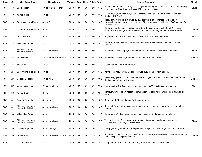| Class      | <b>JN</b> | <b>Certificate Name</b>              | <b>Description</b>        | Vintage | App |     | Nose Palate Score |      | <b>Judge's Comment</b>                                                                                                                                                                               | Medal         |
|------------|-----------|--------------------------------------|---------------------------|---------|-----|-----|-------------------|------|------------------------------------------------------------------------------------------------------------------------------------------------------------------------------------------------------|---------------|
| RSP        | 18        | David Nelson                         | Shiraz Margaret River     | 2018    | 3.0 | 6.0 | 8.0               | 17.0 | Bright, clear. Spices, rich fruit, white pepper. Generally well balanced acid, flavour, lacking<br>some intensity though and richness. Otherwise well made.                                          | Silver        |
| <b>RSP</b> | 19        | Nathan Ueda                          | Shiraz                    | 2019    | 3.0 | 5.0 | 7.0               | 15.0 | Clean, bright, ruby. Red fruit, some leanness, opening up, a little cloying? Chemical?<br>Rubber H2S, Acid+                                                                                          |               |
| RSP        | 20        | Davey Schelling Francis              | Shiraz B                  | 2019    | 3.0 | 5.0 | 7.0               | 15.0 | Deep, dark, ruby/purple. Stewed fruits, aldehyde, plums, cherries. Acid+, tannin+. Well<br>balanced, perhaps just lacking some fruit. This wine could do with some SO2 and may fix<br>the aldehydes! |               |
| RSP        | 21        | Davey Schelling Francis              | Shiraz                    | 2018    | 2.5 | 5.0 | 8.0               | 15.5 | Dark grey purple. Very closed nose - lacks fruit. Bitter, green, lack of fruit. Too highly<br>extracted? Not enough acid? Small acid addition would brighten palate. Has potential!                  | Bronze        |
| RSP        | 22        | Nicholas Pane                        | Shiraz                    | 2019    | 3.0 | 6.5 | 9.0               | 18.5 | Bright ruby red, dense. Clean, bright, fresh. Soft, rich balanced palate.                                                                                                                            | Gold          |
| RSP        | 23        | Wilhelmina Estate                    | Shiraz                    | 2018    | 3.0 | 5.0 | 7.0               | 15.0 | Dark ruby, clean. Menthol, peppermint, wax, green. Acid predominant. Good tannin<br>structure.                                                                                                       |               |
| RSP        | 24        | Phil Kemm Anthony<br>Kemm Robin Hick | Shiraz Heathcote          | 2019    | 3.0 | 6.0 | 8.0               | 17.0 | Bright ruby. Clean, bright, balanced fruit. Well-made but could do with some acid.                                                                                                                   | Silver        |
| RSP        | 25        | Rene Paron                           | Shiraz Heathcote Barrel 1 | 2019    | 3.0 | 5.0 | 7.5               | 15.5 | Bright ruby. Some wax, terpenes? Kerosene?. Cheese, vanilla.                                                                                                                                         | Bronze        |
| RSP        | 26        | Steven Ney                           | Shiraz                    | 2019    | 3.0 | 4.0 | 6.0               | 13.0 | Dense garnet. Cow manure. Brett.                                                                                                                                                                     |               |
| RSP        | 27        | Davey Schelling Francis              | Shiraz A                  | 2019    | 3.0 | 4.0 | 6.0               | 13.0 | Very dense, ruby/purple. Oxidised, stewed fruit. High pH, high alcohol.                                                                                                                              |               |
| RSP        | 28        | Gerrado Borracho                     | Shiraz No 2               | 2018    | 2.5 | 6.0 | 8.0               | 16.5 | Dense grey garnet. Menthol, lemon balm, eucalypt. Well balanced, good intensity Would<br>like to see more fruit characters.                                                                          | <b>Bronze</b> |
| RSP        | 29        | Danny Cappellani                     | Shiraz Heathcote          | 2019    | 3.0 | 6.5 | 9.0               | 18.5 | Medium ruby. Bright red fruits, sweet oak, jasmine. Well balanced fruit, tannin.                                                                                                                     | Gold          |
| RSP        | 30        | Nathan Ueda                          | Shiraz                    | 2018    | 3.0 | 4.0 | 6.0               | 13.0 | Dark ruby. Sweet oak. Chocolate, some oxidation, earthiness. Bitterness, tonic, high pH,<br>salami.                                                                                                  |               |
| RSP        | 31        | Gerrado Borracho                     | Shiraz No 1               | 2018    | 3.0 | 4.0 | 6.0               | 13.0 | Deep garnet. Medicinal nose. Brett, cow manure.                                                                                                                                                      |               |
| <b>RSP</b> | 32        | Phil Kemm Anthony<br>Kemm Robin Hick | Shiraz Heathcote          | 2017    | 3.0 | 4.0 | 6.0               | 13.0 | Ruby red. Bright fruit with wet paper - corked, acetic on nose. Lean. Some good balance<br>though.                                                                                                   |               |
| RSP        | 33        | Wilhelmina Estate                    | Shiraz                    | 2015    | 3.0 | 5.0 | 7.0               | 15.0 | Dark garnet. Cooked green peppers, jam, caramel. Acid apparent, unbalanced.                                                                                                                          |               |
| RSP        | 34        | Phil Kemm Anthony<br>Kemm Robin Hick | Shiraz Heathcote          | 2018    | 3.0 | 6.0 | 8.0               | 17.0 | Very dark purple. Some sweet acid, aromas of oak. Well-made wine, just needs a little<br>acid. High alcohol and juicy sweetness.                                                                     | Silver        |
| <b>RSP</b> | 35        | Danny Cappellani                     | Shiraz Bendigo            | 2015    | 2.0 | 5.0 | 6.0               | 13.0 | Tawny garnet, grey red brown. Peppermint, oregano, oxidised. High pH, brett, oxidised.                                                                                                               |               |
| RSP        | 36        | Rene Paron                           | Shiraz Heathcote Barrel 2 | 2019    | 3.0 | 6.0 | 7.5               | 16.5 | Bright ruby. Quiet brooding fruit, H2S initially. Low oak possibly covering fruit. Good tannin,<br>mouth filling, some good richness.                                                                | <b>Bronze</b> |
| <b>RSP</b> | 37        | Glen van Neuren                      | Shiraz                    | 2019    | 3.0 | 5.0 | 6.5               | 14.5 | Deep purple. Cooked apples - possibly Brett. Cow manure. Lacks acid.                                                                                                                                 |               |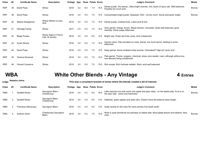| <b>Class</b> | <b>JN</b> | <b>Certificate Name</b> | <b>Description</b>                     | Vintage App |     |     | <b>Nose Palate Score</b> |      | <b>Judge's Comment</b>                                                                                                 | Medal         |
|--------------|-----------|-------------------------|----------------------------------------|-------------|-----|-----|--------------------------|------|------------------------------------------------------------------------------------------------------------------------|---------------|
| <b>RSP</b>   | 38        | David Pope              | Shiraz                                 | 2019        | 3.0 | 6.0 | 7.5                      | 16.5 | Dense purple. Dry leaves. Lifted bright cherries, rich, touch of spicy oak. Well balanced.<br>Possibly too much acid.  | <b>Bronze</b> |
| <b>RSP</b>   | 39        | David Pope              | Shiraz                                 | 2018        | 3.0 | 5.0 | 7.5                      | 15.5 | Concentrated bright purple. Seaweed, H2S - not too much. Some acid good, bright.                                       | <b>Bronze</b> |
| <b>RSP</b>   | 40        | Stelios Karagiannis     | Shiraz Where is Lexis<br>tank          | 2019        | 3.0 | 5.0 | 7.0                      | 15.0 | Dense purple. Cooked fruits. Lacks acid & fruit.                                                                       |               |
| <b>RSP</b>   | 41        | Harridge Family         | Shiraz                                 | 2017        | 2.5 | 5.0 | 7.5                      | 15.0 | Grey garnet, orange, brown. Meyer lemons, chocolate. Quite well balanced, good<br>intensity. Some soapy bitterness.    |               |
| <b>RSP</b>   | 42        | Beige Pureau            | Shiraz Aged in French<br>Oak 18 months | 2018        | 3.0 | 5.0 | 6.5                      | 14.5 | Bright ruby. Dusty red fruits, porty. Acid unbalanced.                                                                 |               |
| <b>RSP</b>   | 43        | <b>Zyrah Winery</b>     | Shiraz                                 | 2018        | 3.0 | 5.0 | 7.0                      | 15.0 | Garnet colour. Oak prevalent on nose. Dense, too much tannin, leading to some<br>bitterness.                           |               |
| <b>RSP</b>   | 44        | David Pope              | Shiraz                                 | 2016        | 3.0 | 5.0 | 7.0                      | 15.0 | Deep garnet. Some oxidised minty aromas. Overoaked? High pH, lacks acid.                                               |               |
| <b>RSP</b>   | 45        | <b>Terence Norwood</b>  | Shiraz                                 | 2019        | 3.0 | 5.0 | 7.0                      | 15.0 | Pale garnet. Thyme, oregano, chemical, straw, pine needle. Lean, although without any<br>one element being unbalanced. |               |
| <b>RSP</b>   | 46        | Vincent Conserva        | Shiraz                                 | 2019        | 3.0 | 5.0 | 7.0                      | 15.0 | Rich purple. Rich fruit/oak melded. Short, acid well balanced.                                                         |               |

## **WBA White Other Blends - Any Vintage** 4 **Entries**

| Judge:       | Natasha Johns<br>This was a consistent bracket of wines where the blends created a bit of interest. |                         |                               |             |     |     |                   |      |                                                                                                                                    |               |  |  |
|--------------|-----------------------------------------------------------------------------------------------------|-------------------------|-------------------------------|-------------|-----|-----|-------------------|------|------------------------------------------------------------------------------------------------------------------------------------|---------------|--|--|
| <b>Class</b> | JN.                                                                                                 | <b>Certificate Name</b> | <b>Description</b>            | Vintage App |     |     | Nose Palate Score |      | <b>Judge's Comment</b>                                                                                                             | <b>Medal</b>  |  |  |
| <b>WBA</b>   |                                                                                                     | Tarabilli Wines         | Sauvignon Blanc<br>Chardonnav | 2018        | 3.0 | 5.0 | 8.0               | 16.0 | Little reductive but with some nice apple and pear notes - on the baked side. Fruit is on<br>the riper side - some nice freshness. | <b>Bronze</b> |  |  |
| <b>WBA</b>   |                                                                                                     | Tarabilli Wines         | Sauvignon Blanc<br>Chardonnay | 2019        | 3.0 | 4.0 | 6.0               | 13.0 | Aldehytic, green apples and quite citric. Doesn't have the balance lacks length.                                                   |               |  |  |
| WBA          |                                                                                                     | Francesco Bevacqua      | Sauvignon Blanc               | 2016        | 3.0 | 4.0 | 6.0               | 13.0 | Quite neutral on the nose No more primary fruit Quite acidic                                                                       |               |  |  |
| WBA          |                                                                                                     | Graham Scott            | Chardonnay Sauvignon<br>Blanc | 2019        | 3.0 | 5.0 | 7.5               | 15.5 | Nose is quite stonefruity but perhaps on baked side. Nice palate texture and balance. Nice<br>chen.                                | <b>Bronze</b> |  |  |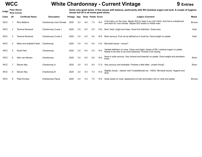|            | <b>WCC</b> |                                          |                         |             |          |     |                                         |      | <b>White Chardonnay - Current Vintage</b><br><b>Entries</b>                                                                                                   |               |
|------------|------------|------------------------------------------|-------------------------|-------------|----------|-----|-----------------------------------------|------|---------------------------------------------------------------------------------------------------------------------------------------------------------------|---------------|
| Judge:     |            | <b>Peter Shone</b><br><b>Aine Conran</b> |                         |             |          |     | issues but all in all some great wines. |      | Some very good wines. A few issues with balance, particularly with RS (residual sugar) and acid. A couple of hygiene                                          |               |
| Class      | JN.        | <b>Certificate Name</b>                  | <b>Description</b>      | Vintage App |          |     | Nose Palate Score                       |      | <b>Judge's Comment</b>                                                                                                                                        | Medal         |
| <b>WCC</b> |            | Rino Ballerini                           | Chardonnay Cool Climate | 2020        | 3.0      | 6.0 | 7.5                                     | 16.5 | A bit malo-y on the nose. Needs SO2 to clean it up a bit I think. Acid line is unbalanced<br>and fresh for 'cool climate'. Maybe SO2 earlier to inhibit malo. | <b>Bronze</b> |
| <b>WCC</b> |            | <b>Terence Norwood</b>                   | Chardonnay Cuvee 1      | 2020        | 3.0      | 6.5 | 9.5                                     | 19.0 | Nice, fresh, bright and clean. Good fruit definition. Great wine.                                                                                             | Gold          |
| <b>WCC</b> | 3          | <b>Terence Norwood</b>                   | Chardonnay Cuvee 2      | 2020        | 3.0      | 6.5 | 9.0                                     | 18.5 | More savoury. Fruit not as defined as it could be. Good weight on palate.                                                                                     | Gold          |
| <b>WCC</b> |            | Mario and Izabella Fantin                | Chardonnay              | 2020        | 3.0      | 4.0 | 6.0                                     | 13.0 | Microbial issues - mousy?                                                                                                                                     |               |
| <b>WCC</b> | 5          | David Hart                               | Chardonnay              | 2020        | 3.0      | 6.5 | 5.5                                     | 15.0 | Varietal definition on nose. Clean and bright. Heaps of RS (residual sugar) on palate.<br>Needs to be drier to be more balanced. Finishes a bit cloying.      |               |
| <b>WCC</b> | 6          | Glen van Neuren                          | Chardonnay              | 2020        | 3.0      | 6.0 | 9.0                                     | 18.0 | Nose is quite savoury. Very mineral and phenolic on palate. Good weight and persistent<br>finish.                                                             | Silver        |
| <b>WCC</b> |            | Steven Ney                               | Chardonnay A            | 2020        | 3.0      | 5.5 | 8.5                                     | 17.0 | Very savoury and drinkable. Finishes a little bitter - protein fining?                                                                                        | Silver        |
| MDC        | $\circ$    | Ctaven Nav                               | Chardenneu D            | 2000        | $\Omega$ |     |                                         |      | $50 - 75 = 145$ Slightly cloudy - cleaner rack? Acetaldehyde too - HSO2. Microbial issues. Hygiene and                                                        |               |

WCC 9 Peter Enness Chardonnay Payne 2020 3.0 5.5 7.0 15.5 Quite sweet on nose. Appearance of oak dominates a bit on nose and palate.

SO2.

WCC 8 Steven Ney Chardonnay B 2020 2.0 5.0 7.5 14.5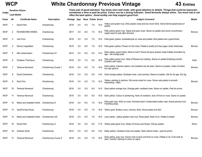**Leah Mottin** 

**Judge:**

## **WCP White Chardonnay Previous Vintage 43 Entries**

Sandrine Gimon Sandrine Gimon Sandrine Gimon Sandrine Gimon Class was of good standard. Top wines were well made, with good attention to details. Things that could be improved:. sometimes a wine is past its prime. Colour can be a strong indicator.. Good ferments always shine.. Too much oak is not **Leah Mo often the best option.. Good acidity can help support good fruit.**

| Class      | <b>JN</b> | <b>Certificate Name</b>   | <b>Description</b> | Vintage | App |     | <b>Nose Palate Score</b> |      | <b>Judge's Comment</b>                                                                                                                | <b>Medal</b>  |
|------------|-----------|---------------------------|--------------------|---------|-----|-----|--------------------------|------|---------------------------------------------------------------------------------------------------------------------------------------|---------------|
| <b>WCP</b> |           | David Hart                | Chardonnay         | 2018    | 3.0 | 5.0 | 7.0                      | 15.0 | Yellow and green hue. Dirty plastic nose and too much SO2. Some fennel greenness of<br>palate.                                        |               |
| <b>WCP</b> | 2         | <b>RICHMOORE WINES</b>    | Chardonnay         | 2017    | 3.0 | 6.0 | 7.5                      | 16.5 | Pale yellow green hue. Apple and pear nose. Same on palate and some crunchiness -<br>might need to look after ferment.                | <b>Bronze</b> |
| <b>WCP</b> | 3         | Joe Fruci                 | Chardonnay         | 2019    | 3.0 | 5.0 | 7.0                      | 15.0 | Pale green yellow. Acetaldehyde on nose and palate. But palate has a good finish.                                                     |               |
| <b>WCP</b> |           | Danny Cappellani          | Chardonnay         | 2019    | 3.0 | 6.5 | 7.0                      | 16.5 | Pale green yellow. Flower on the nose. Palate is pretty but has sugar, lacks freshness.                                               | <b>Bronze</b> |
| <b>WCP</b> | 5         | Neil Johannesen           | Chardonnay A1      | 2013    | 3.0 | 6.0 | 6.0                      | 15.0 | Dark yellow, good clarity. Note of mint? Some all spice drawer notes Palate smoother by<br>age - old orange peel.                     |               |
| <b>WCP</b> | 6         | Chateau Thornbury         | Chardonnay         | 2019    | 3.0 | 7.0 | 8.5                      | 18.5 | Pale yellow green hue. Note of flowers but rubbery. Same on palate finishing smooth.<br>(Careful with vats!)                          | Gold          |
| <b>WCP</b> |           | Terence Norwood           | Chardonnay Cuvee 1 | 2019    | 2.5 | 6.5 | 7.5                      | 16.5 | Dark yellow. Intense sulphur, but oxidised can be seen. Same on palate, notes of melon<br>too ripe apricot.                           | <b>Bronze</b> |
| <b>WCP</b> | 8         | David Chambers            | Chardonnay         | 2019    | 2.5 | 5.5 | 6.0                      | 14.0 | Gold orange yellow. Oxidised nose. Lack primary. Same on palate. Old for its age. Dry fig.                                            |               |
| WCP        | 9         | Paul Finn                 | Chardonnay         | 2016    | 2.5 | 5.5 | 7.5                      | 15.5 | Yellow, starting to decline. Old socks smell on nose. Some oak palate is smooth.<br>Interesting - bitter.                             | <b>Bronze</b> |
| <b>WCP</b> | 10        | <b>Terence Norwood</b>    | Chardonnay         | 2016    | 3.0 | 5.5 | 6.0                      | 14.5 | Dark yellow orange hue. Orange peel, oxidised nose. Same on palate. Past its prime.                                                   |               |
| <b>WCP</b> | 11        | <b>Terence Norwood</b>    | Chardonnay         | 2015    | 2.5 | 6.0 | 6.5                      | 15.0 | Dark yellow. Colour is darkening. Note of oxidation, lack of fruit on nose. Same on palate.                                           |               |
| <b>WCP</b> | 12        | Mario and Izabella Fantin | Chardonnay S       | 2019    | 3.0 | 6.0 | 7.5                      | 16.5 | Pale gold rose. SO2 on nose. Ferment slow? Underneath butter note. Some primary fruit.<br>Finishing zesty.                            | <b>Bronze</b> |
| <b>WCP</b> | 13        | Geoff & Kay Rowe          | Chardonnay         | 2018    | 3.0 | 6.5 | 7.0                      | 16.5 | Yellow gold. Buttery nose, mineral, flinty. Good palate and flair.                                                                    | <b>Bronze</b> |
| <b>WCP</b> | 14        | Mario and Izabella Fantin | Chardonnay UG      | 2019    | 2.5 | 6.5 | 7.5                      | 16.5 | Lack clarity - yellow golden rose hue. Rose petal. Start of ox. Palate is better.                                                     | <b>Bronze</b> |
| <b>WCP</b> | 15        | David Hart                | Chardonnay A       | 2019    | 3.0 | 6.5 | 8.0                      | 17.5 | Yellow pale green hue. Notes of honey and flower. Citrusy palate.                                                                     | Silver        |
| <b>WCP</b> | 16        | <b>Graham Scott</b>       | Chardonnay         | 2013    | 2.5 | 6.0 | 6.0                      | 14.5 | Deep yellow. Oxidised nose and palate. Dark walnut notes - past its prime.                                                            |               |
| <b>WCP</b> | 17        | <b>Terence Norwood</b>    | Chardonnay Cuvee 3 | 2019    | 2.5 | 6.5 | 7.5                      | 16.5 | Dark yellow, grey hue. Some note of pear and fruit on nose. Palate is ok. Fruit note at<br>start. Careful, starting to show ox signs. | <b>Bronze</b> |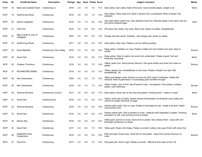| <b>Class</b> | <b>JN</b> | <b>Certificate Name</b>            | <b>Description</b>      | Vintage App |     |     | Nose Palate Score |      | <b>Judge's Comment</b>                                                                                                                                  | Medal         |
|--------------|-----------|------------------------------------|-------------------------|-------------|-----|-----|-------------------|------|---------------------------------------------------------------------------------------------------------------------------------------------------------|---------------|
| WCP          | 18        | Mario and Izabella Fantin          | Chardonnay U            | 2019        | 2.5 | 7.0 | 7.5               | 17.0 | Dark yellow, lack clarity. Note of fruit zest. Good smooth palate. Length is ok.                                                                        | Silver        |
| <b>WCP</b>   | 19        | Geoff & Kay Rowe                   | Chardonnay              | 2019        | 3.0 | 4.0 | 7.0               | 14.0 | Pale yellow. Green pale hue. Nose is cement wet, not pleasant! Wine is diluted. Not<br>pleasant.                                                        |               |
| WCP          | 20        | Danny Cappellani                   | Chardonnay              | 2018        | 3.0 | 7.0 | 9.0               | 19.0 | Very pale yellow, green hue. Very pleasant nose fruit. Delicate palate in the same vein but<br>has some residual sugar.                                 | Gold          |
| WCP          | 21        | Paul Finn                          | Chardonnay              | 2015        | 2.0 | 6.0 | 6.0               | 14.0 | Off colour lack clarity. Oxy nose. Sherry like. Same on palate. Acetaldehyde.                                                                           |               |
| WCP          | 22        | Mario Fantin & John O<br>Callaghan | Chardonnay              | 2003        | 0.5 | 6.0 | 6.5               | 13.0 | Orange and lack clarity. Oxidised - odd orange note. Same on palate.                                                                                    |               |
| WCP          | 23        | Geoff & Kay Rowe                   | Chardonnay              | 2017        | 3.0 | 5.5 | 6.5               | 15.0 | Gold yellow. Dirty nose. Palate is ok but nothing exciting.                                                                                             |               |
| WCP          | 24        | David Mayfield                     | Chardonnay Yarra Valley | 2018        | 2.5 | 5.0 | 8.5               | 16.0 | Deep yellow. Oxidation on nose. Palate is better but can't redeem the wine. Note of<br>vanilla.                                                         | <b>Bronze</b> |
| WCP          | 25        | David Hart                         | Chardonnay              | 2010        | 3.0 | 5.5 | 8.5               | 17.0 | Deep yellow. Note of sulphur but some fruit underneath. Palate is good, fruit and<br>freshness surprising!                                              | Silver        |
| WCP          | 26        | Chateau Thornbury                  | Chardonnay              | 2018        | 3.0 | 6.5 | 7.0               | 16.5 | Yellow, green hue. Good primary flavours. Has good acidity and some fruit notes on<br>palate.                                                           | <b>Bronze</b> |
| WCP          | 27        | <b>RICHMOORE WINES</b>             | Chardonnay              | 2019        | 3.0 | 5.0 | 5.0               | 13.0 | Yellow, deeper hue. Acetaldehyde on the nose. Palate is diluted, too ripe? Still<br>acetaldehyde. VA.                                                   |               |
| WCP          | 28        | Neil Johannesen                    | Chardonnay              | 2004        | 3.0 | 5.0 | 7.0               | 15.0 | Yellow and deeper notes. Apricot on nose and SO2 notes of reduction. Palate still<br>reduced. Note of greenness. In surprisingly good condition though! |               |
| WCP          | 29        | Neil Johannesen                    | Chardonnay              | 2016        | 3.0 | 5.5 | 7.0               | 15.5 | Yellow, bright. Lack of fruit, like off apricot nose - not pleasant. Very buttery, oxidised<br>palate. Lack freshness.                                  | <b>Bronze</b> |
| WCP          | 30        | <b>Terence Norwood</b>             | Chardonnay Cuvee 2      | 2017        | 3.0 | 6.0 | 8.0               | 17.0 | Dark yellow. Some oak on the nose and palate. Finishing short - made to a style.                                                                        | Silver        |
| WCP          | 31        | David Hart                         | Chardonnay B            | 2019        | 2.5 | 5.5 | 6.5               | 14.5 | Yellow, some lack of clarity. Sweet! Alcohol fermentation not finished! Lack acidity and<br>volume to sustain that level of sugar.                      |               |
| WCP          | 32        | <b>Terence Norwood</b>             | Chardonnay              | 2018        | 3.0 | 6.0 | 6.5               | 15.5 | Intense yellow gold. Oak on nose. Palate is dominated by oak - length a bit short. Need<br>more primary fruit.                                          | <b>Bronze</b> |
| WCP          | 33        | David Hart                         | Chardonnay              | 2015        | 3.0 | 6.5 | 8.0               | 17.5 | Intense yellow gold. Oak is present on nose - relatively well integrated in palate. Finishing<br>persistent on oak. Lack primary fruit and acidity.     | Silver        |
| WCP          | 34        | Steven Ney                         | Chardonnay              | 2019        | 3.0 | 6.0 | 6.0               | 15.0 | Yellow gold. Quince on nose. Some fruit on palate. Very cheesy finish - issue with vat?<br>Persistent off flavours on finale.                           |               |
| <b>WCP</b>   | 35        | David Hart                         | Chardonnay              | 2017        | 2.0 | 6.0 | 7.0               | 15.0 | Yellow gold. Nose a bit cheesy. Palate is smooth, buttery note, good finish with some fruit.                                                            |               |
| <b>WCP</b>   | 36        | DaMcDiPa Wine<br>Cooperative       | Chardonnay              | 2019        | 2.0 | 5.5 | 8.0               | 15.5 | Pale pink gold. Dusty nose. Good fruit on the palate - need more primary flavours on<br>nose.                                                           | <b>Bronze</b> |
| <b>WCP</b>   | 37        | Paul Finn                          | Chardonnay              | 2017        | 2.0 | 5.5 | 7.5               | 15.0 | Pale gold pink. SO2 is high. Palate is smooth - difficult to find notes of fruit. Ok.                                                                   |               |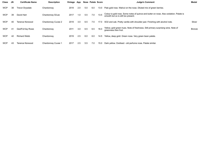| <b>Class</b> | <b>JN</b> | <b>Certificate Name</b> | <b>Description</b> | Vintage App |     |     | Nose Palate Score |      | <b>Judge's Comment</b>                                                                                                         | Medal         |
|--------------|-----------|-------------------------|--------------------|-------------|-----|-----|-------------------|------|--------------------------------------------------------------------------------------------------------------------------------|---------------|
| <b>WCP</b>   | 38        | <b>Trevor Drysdale</b>  | Chardonnay         | 2019        | 2.0 | 5.0 | 6.0               | 13.0 | Pale gold rose. Walnut on the nose. Diluted mix of green berries.                                                              |               |
| <b>WCP</b>   | 39        | David Hart              | Chardonnay S/Lee   | 2017        | 1.0 | 5.5 | 7.0               | 13.5 | Colour is gold rose. Some notes of quince and butter on nose. Also oxidation. Palate is<br>smooth but ox is still too present. |               |
| <b>WCP</b>   | 40        | <b>Terence Norwood</b>  | Chardonnay Cuvee 2 | 2019        | 3.0 | 6.5 | 7.5               | 17.0 | SO2 and oak. Pretty vanilla with shoulder pad. Finishing with alcohol note.                                                    | Silver        |
| <b>WCP</b>   | 41        | Geoff & Kay Rowe        | Chardonnay         | 2011        | 3.0 | 6.5 | 6.5               | 16.0 | Yellow, gold green hues. Note of freshness. Still primary surprising wine. Note of<br>greenness then fruit.                    | <b>Bronze</b> |
| <b>WCP</b>   | 42        | <b>Richard Webb</b>     | Chardonnay         | 2019        | 2.5 | 6.0 | 6.0               | 14.5 | Yellow, deep gold. Green nose. Very green bean palate.                                                                         |               |
| <b>WCP</b>   | 43        | <b>Terence Norwood</b>  | Chardonnay Cuvee 1 | 2017        | 2.5 | 5.5 | 7.0               | 15.0 | Dark yellow. Oxidised - old perfume nose. Palate similar.                                                                      |               |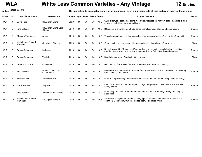## **WLA White Less Common Varieties - Any Vintage 12 Entries**

| Judge:       | Natasha Johns |                                    |                                    | So interesting to see such a variety of white grapes - even a Malvasia. Lots of nice texture in many of these wines |     |     |                          |      |                                                                                                                                                                             |               |  |  |  |  |
|--------------|---------------|------------------------------------|------------------------------------|---------------------------------------------------------------------------------------------------------------------|-----|-----|--------------------------|------|-----------------------------------------------------------------------------------------------------------------------------------------------------------------------------|---------------|--|--|--|--|
| <b>Class</b> | JN            | <b>Certificate Name</b>            | <b>Description</b>                 | Vintage                                                                                                             | App |     | <b>Nose Palate Score</b> |      | <b>Judge's Comment</b>                                                                                                                                                      | <b>Medal</b>  |  |  |  |  |
| <b>WLA</b>   |               | David Hart                         | Sauvignon Blanc                    | 2020                                                                                                                | 3.0 | 5.0 | 5.0                      | 13.0 | Quite aldehytic - palate has some nice fruit sweetness but not very defined and lacks a bit<br>of acidity. Not clearly Sauvignon Blanc.                                     |               |  |  |  |  |
| <b>WLA</b>   | 2             | Rino Ballerini                     | Sauvignon Blanc Cool<br>Climate    | 2019                                                                                                                | 3.0 | 5.0 | 8.0                      | 16.0 | Bit reductive, cleaner green fruits, some phenolics. Good shape and good acidity.                                                                                           | <b>Bronze</b> |  |  |  |  |
| <b>WLA</b>   |               | Chateau Thornbury                  | Arneis                             | 2019                                                                                                                | 3.0 | 5.0 | 8.0                      | 16.0 | Typical green almonds note on nose but otherwise very subtle. Green fruits. Good acid.                                                                                      | <b>Bronze</b> |  |  |  |  |
| <b>WLA</b>   |               | Michele and Richard<br>Martignetti | Sauvignon Blanc A                  | 2020                                                                                                                | 3.0 | 7.0 | 8.0                      | 18.0 | Good typicity on nose, slight bitterness on finish but good acid. Good wine.                                                                                                | Silver        |  |  |  |  |
| <b>WLA</b>   |               | Danny Cappellani                   | Malvasia                           | 2016                                                                                                                | 3.0 | 6.0 | 7.0                      | 16.0 | Nose: Lacks a bit of freshness. Pine needles and aromatics slightly herbal nose. Nice<br>rounded palate, good texture, some nice dried stone fruit notes, losing freshness. | <b>Bronze</b> |  |  |  |  |
| <b>WLA</b>   |               | Danny Cappellani                   | Verdello                           | 2019                                                                                                                | 3.0 | 7.0 | 8.0                      | 18.0 | Nice balanced wine. Good acid. Good shape.                                                                                                                                  | Silver        |  |  |  |  |
| <b>WLA</b>   |               | Denis Mazzocato                    | Colombard                          | 2019                                                                                                                | 3.0 | 5.0 | 6.0                      | 14.0 | Bit aldehytic. Some fresh fruit and nice cheny texture but lacks acidity.                                                                                                   |               |  |  |  |  |
| <b>WLA</b>   | 8             | Rino Ballerini                     | Moscato Bianco WHT<br>Cool Climate | 2019                                                                                                                | 3.0 | 6.0 | 7.0                      | 16.0 | Nice bright and true nose, floral, stone fruit, grape notes. Little sour on finish - acidity may<br>be a little too pronounced.                                             | Bronze        |  |  |  |  |
| <b>WLA</b>   | 9             | <b>Peter Enness</b>                | Verdelho Baxter                    | 2020                                                                                                                | 3.0 | 4.0 | 7.0                      | 14.0 | Nose is not particularly fresh and fruit not so well defined. Palate nicely balanced though.                                                                                |               |  |  |  |  |
| <b>WLA</b>   | 10            | A & S Nardelli                     | Viognier                           | 2019                                                                                                                | 3.0 | 4.0 | 8.5                      | 15.5 | Lots of VA and nice dried fruit - apricots, figs, orange - good sweetness and some nice<br>cheny texture.                                                                   | <b>Bronze</b> |  |  |  |  |
| <b>WLA</b>   | 11            | Rino Ballerini                     | Verdelho Cool Climate              | 2019                                                                                                                | 3.0 | 4.0 | 7.0                      | 14.0 | Nose: very reductive. Good defined and taut fruit. Acid is very high though and slightly<br>bitter finish.                                                                  |               |  |  |  |  |
| <b>WLA</b>   | 12            | Michele and Richard<br>Martignetti | Sauvignon Blanc B                  | 2020                                                                                                                | 3.0 | 6.5 | 7.0                      | 16.5 | Smells like savvy! Good aromatics, very typical. 0.5 down just because it lacks a little<br>definition. Good fleshy fruit but little too fleshy - bit flat on finish.       | <b>Bronze</b> |  |  |  |  |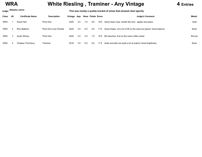## **WRA White Riesling , Traminer - Any Vintage 4 Entries**

| Natasha Johns<br>Judge: |    |                         | This was mostly a quality bracket of wines that showed clear typicity |             |     |     |                   |      |                                                                      |               |  |  |
|-------------------------|----|-------------------------|-----------------------------------------------------------------------|-------------|-----|-----|-------------------|------|----------------------------------------------------------------------|---------------|--|--|
| Class                   | JN | <b>Certificate Name</b> | <b>Description</b>                                                    | Vintage App |     |     | Nose Palate Score |      | <b>Judge's Comment</b>                                               | Medal         |  |  |
| <b>WRA</b>              |    | David Hart              | Pinot Gris                                                            | 2020        | 3.0 | 7.0 | 9.0               | 19.0 | Good clean nose, smells like Gris - apples and pears.                | Gold          |  |  |
| <b>WRA</b>              |    | Rino Ballerini          | Pinot Gris Cool Climate                                               | 2020        | 3.0 | 6.0 | 8.0               | 17.0 | Good shape, not a lot of lift on the nose but typical. Good balance. | Silver        |  |  |
| <b>WRA</b>              |    | Zyrah Winery            | <b>Pinot Gris</b>                                                     | 2020        | 3.0 | 5.0 | 7.5               | 15.5 | Bit reductive, fruit on the nose a little muted.                     | <b>Bronze</b> |  |  |
| <b>WRA</b>              |    | Chateau Thornbury       | Traminer                                                              | 2018        | 3.0 | 6.5 | 8.0               | 17.5 | Quite aromatic but quite a lot of sulphur Good brightness.           | Silver        |  |  |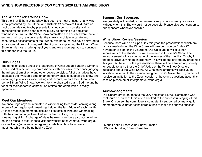### **The Winemaker's Wine Show**

This the 51st Eltham Wine Show has been the most unusual of any wine show presented by the Eltham and Districts Winemakers Guild. With no public open day, no trophy presentations, no sponsors on site and no demonstrations it has been a show purely celebrating our dedicated winemaker entrants. The Wine Show committee are acutely aware that our entrants' primary reason to enter the show is to obtain accurate and constructive assessments of their wines. We hope that we have delivered to your expectations in this regard. Thank you for supporting the Eltham Wine Show in this most challenging of years and we encourage you to continue this support into the future.

### **Our Judges**

The panel of judges under the leadership of Chief Judge Sandrine Gimon is comprised of wine industry professionals with extensive experience judging the full spectrum of wine and other beverage styles. All of our judges have dedicated their valuable time on an honorary basis to support this show and encourage you in your winemaking endeavours, without them there would be no Eltham Wine Show. We wish to wholeheartedly thank Sadrine and her team for their generous contribution of time and effort which is really appreciated.

### **Meet Our Members**

We encourage anyone interested in winemaking to consider coming along to one of our regular guild meetings held on the last Friday of each month. At these meetings members discuss all aspects of wine and winemaking with the common objective of either problem solving or improving winemaking skills. Exchange of ideas between members also occurs either on-line or face to face. Please visit our website https://amateurwine.org.au or email info@amateurwine.org.au for details on how to access our meetings which are being held via Zoom.

### **Support Our Sponsors**

We gratefully acknowledge the generous support of our many sponsors without whom this Show would not be possible. Please give your support to our sponsors whenever possible.

### **Wine Show Review Session**

Because there will be no Open Day this year, the presentations which are usually made during the Wine Show will now be made on Friday 27 November at 8pm online via Zoom. Our Chief Judge will give her impressions of the standard of wines entered in this year's Show. The announcement will also be made of the winner of the Joe Illian Trophy for the best previous vintage chardonnay. This will be the only trophy presented this year. At the end of the presentations there will be a limited opportunity for people to ask either the Chief Judge or the Wine Show Directors questions about the Wine Show. All wine show entrants will receive an invitation via email to the session being held on 27 November. If you do not receive an invitation to the Zoom session or have any questions about this session please email info@amateurwine.org.au

### **Acknowledgments**

Our sincere gratitude goes to the very dedicated EDWG Committee who contribute so much of their time and effort to the successful staging of this Show. Of course, the committee is competently supported by many guild members who volunteer considerable time to make the show a success.

. Mario Fantin Eltham Wine Show Director . Wayne Harridge, EDWG President